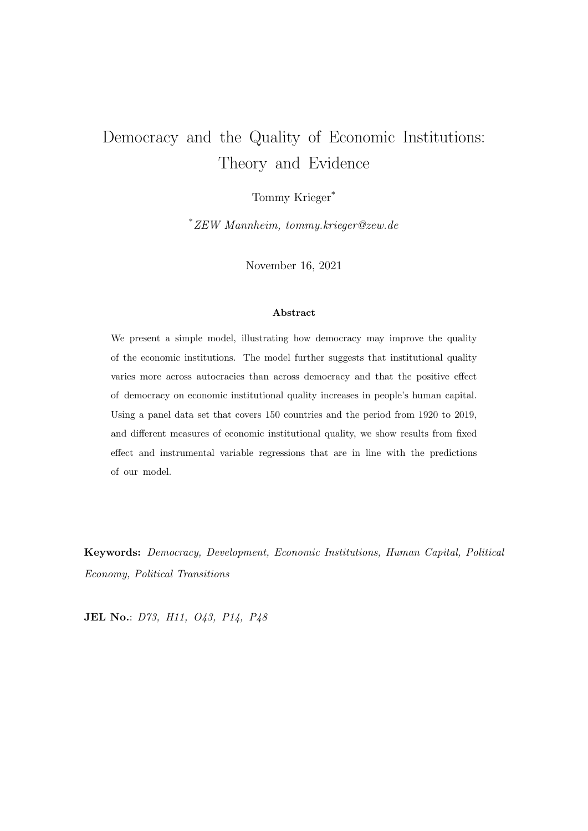# <span id="page-0-0"></span>Democracy and the Quality of Economic Institutions: Theory and Evidence

Tommy Krieger\*

\*ZEW Mannheim, tommy.krieger@zew.de

November 16, 2021

#### Abstract

We present a simple model, illustrating how democracy may improve the quality of the economic institutions. The model further suggests that institutional quality varies more across autocracies than across democracy and that the positive effect of democracy on economic institutional quality increases in people's human capital. Using a panel data set that covers 150 countries and the period from 1920 to 2019, and different measures of economic institutional quality, we show results from fixed effect and instrumental variable regressions that are in line with the predictions of our model.

Keywords: Democracy, Development, Economic Institutions, Human Capital, Political Economy, Political Transitions

JEL No.: D73, H11, O43, P14, P48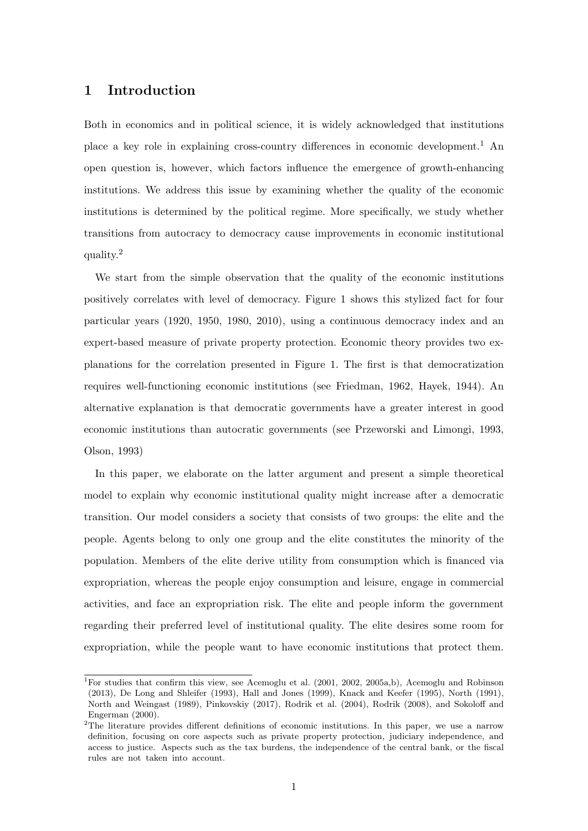## 1 Introduction

Both in economics and in political science, it is widely acknowledged that institutions place a key role in explaining cross-country differences in economic development.[1](#page-0-0) An open question is, however, which factors influence the emergence of growth-enhancing institutions. We address this issue by examining whether the quality of the economic institutions is determined by the political regime. More specifically, we study whether transitions from autocracy to democracy cause improvements in economic institutional quality.[2](#page-0-0)

We start from the simple observation that the quality of the economic institutions positively correlates with level of democracy. Figure [1](#page-2-0) shows this stylized fact for four particular years (1920, 1950, 1980, 2010), using a continuous democracy index and an expert-based measure of private property protection. Economic theory provides two explanations for the correlation presented in Figure 1. The first is that democratization requires well-functioning economic institutions (see [Friedman,](#page-23-0) [1962,](#page-23-0) [Hayek,](#page-24-0) [1944\)](#page-24-0). An alternative explanation is that democratic governments have a greater interest in good economic institutions than autocratic governments (see [Przeworski and Limongi,](#page-26-0) [1993,](#page-26-0) [Olson,](#page-25-0) [1993\)](#page-25-0)

In this paper, we elaborate on the latter argument and present a simple theoretical model to explain why economic institutional quality might increase after a democratic transition. Our model considers a society that consists of two groups: the elite and the people. Agents belong to only one group and the elite constitutes the minority of the population. Members of the elite derive utility from consumption which is financed via expropriation, whereas the people enjoy consumption and leisure, engage in commercial activities, and face an expropriation risk. The elite and people inform the government regarding their preferred level of institutional quality. The elite desires some room for expropriation, while the people want to have economic institutions that protect them.

<sup>&</sup>lt;sup>1</sup>For studies that confirm this view, see [Acemoglu et al.](#page-22-0)  $(2001, 2002, 2005a,b)$  $(2001, 2002, 2005a,b)$  $(2001, 2002, 2005a,b)$  $(2001, 2002, 2005a,b)$  $(2001, 2002, 2005a,b)$  $(2001, 2002, 2005a,b)$ , [Acemoglu and Robinson](#page-22-4) [\(2013\)](#page-22-4), [De Long and Shleifer](#page-23-1) [\(1993\)](#page-23-1), [Hall and Jones](#page-24-1) [\(1999\)](#page-24-1), [Knack and Keefer](#page-24-2) [\(1995\)](#page-24-2), [North](#page-25-1) [\(1991\)](#page-25-1), [North and Weingast](#page-25-2) [\(1989\)](#page-25-2), [Pinkovskiy](#page-25-3) [\(2017\)](#page-25-3), [Rodrik et al.](#page-26-1) [\(2004\)](#page-26-1), [Rodrik](#page-26-2) [\(2008\)](#page-26-2), and [Sokoloff and](#page-26-3) [Engerman](#page-26-3) [\(2000\)](#page-26-3).

<sup>&</sup>lt;sup>2</sup>The literature provides different definitions of economic institutions. In this paper, we use a narrow definition, focusing on core aspects such as private property protection, judiciary independence, and access to justice. Aspects such as the tax burdens, the independence of the central bank, or the fiscal rules are not taken into account.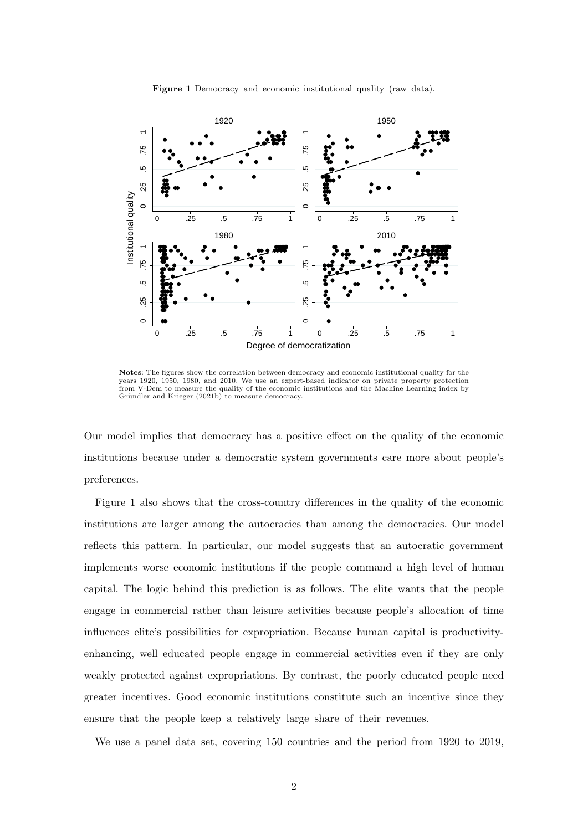<span id="page-2-0"></span>

Figure 1 Democracy and economic institutional quality (raw data).

Notes: The figures show the correlation between democracy and economic institutional quality for the years 1920, 1950, 1980, and 2010. We use an expert-based indicator on private property protection from V-Dem to measure the quality of the economic institutions and the Machine Learning index by Gründler and Krieger  $(2021b)$  to measure democracy.

Our model implies that democracy has a positive effect on the quality of the economic institutions because under a democratic system governments care more about people's preferences.

Figure [1](#page-2-0) also shows that the cross-country differences in the quality of the economic institutions are larger among the autocracies than among the democracies. Our model reflects this pattern. In particular, our model suggests that an autocratic government implements worse economic institutions if the people command a high level of human capital. The logic behind this prediction is as follows. The elite wants that the people engage in commercial rather than leisure activities because people's allocation of time influences elite's possibilities for expropriation. Because human capital is productivityenhancing, well educated people engage in commercial activities even if they are only weakly protected against expropriations. By contrast, the poorly educated people need greater incentives. Good economic institutions constitute such an incentive since they ensure that the people keep a relatively large share of their revenues.

We use a panel data set, covering 150 countries and the period from 1920 to 2019,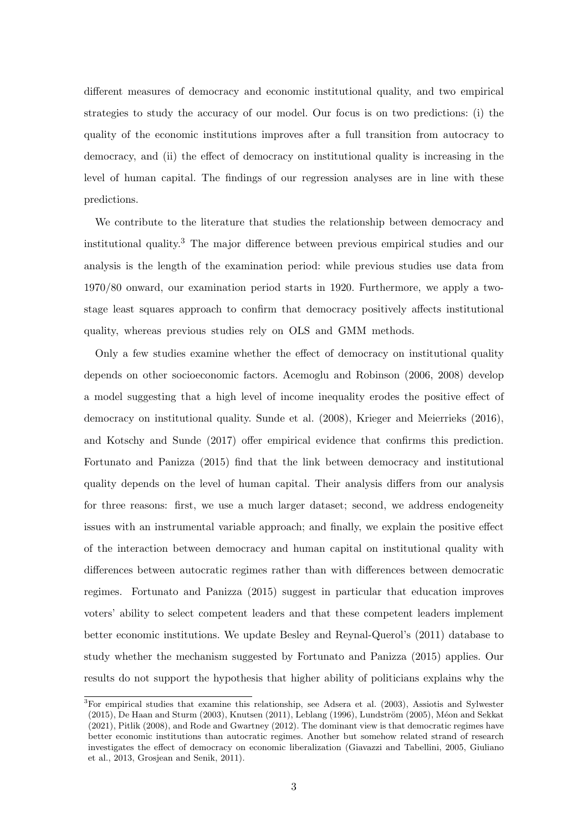different measures of democracy and economic institutional quality, and two empirical strategies to study the accuracy of our model. Our focus is on two predictions: (i) the quality of the economic institutions improves after a full transition from autocracy to democracy, and (ii) the effect of democracy on institutional quality is increasing in the level of human capital. The findings of our regression analyses are in line with these predictions.

We contribute to the literature that studies the relationship between democracy and institutional quality.[3](#page-0-0) The major difference between previous empirical studies and our analysis is the length of the examination period: while previous studies use data from 1970/80 onward, our examination period starts in 1920. Furthermore, we apply a twostage least squares approach to confirm that democracy positively affects institutional quality, whereas previous studies rely on OLS and GMM methods.

Only a few studies examine whether the effect of democracy on institutional quality depends on other socioeconomic factors. [Acemoglu and Robinson](#page-22-5) [\(2006,](#page-22-5) [2008\)](#page-22-6) develop a model suggesting that a high level of income inequality erodes the positive effect of democracy on institutional quality. [Sunde et al.](#page-26-4) [\(2008\)](#page-26-4), [Krieger and Meierrieks](#page-25-4) [\(2016\)](#page-25-4), and [Kotschy and Sunde](#page-25-5) [\(2017\)](#page-25-5) offer empirical evidence that confirms this prediction. [Fortunato and Panizza](#page-23-2) [\(2015\)](#page-23-2) find that the link between democracy and institutional quality depends on the level of human capital. Their analysis differs from our analysis for three reasons: first, we use a much larger dataset; second, we address endogeneity issues with an instrumental variable approach; and finally, we explain the positive effect of the interaction between democracy and human capital on institutional quality with differences between autocratic regimes rather than with differences between democratic regimes. [Fortunato and Panizza](#page-23-2) [\(2015\)](#page-23-2) suggest in particular that education improves voters' ability to select competent leaders and that these competent leaders implement better economic institutions. We update Besley and Reynal-Querol's (2011) database to study whether the mechanism suggested by [Fortunato and Panizza](#page-23-2) [\(2015\)](#page-23-2) applies. Our results do not support the hypothesis that higher ability of politicians explains why the

<sup>3</sup>For empirical studies that examine this relationship, see [Adsera et al.](#page-22-7) [\(2003\)](#page-22-7), [Assiotis and Sylwester](#page-22-8)  $(2015)$ , [De Haan and Sturm](#page-23-3)  $(2003)$ , [Knutsen](#page-24-4)  $(2011)$ , [Leblang](#page-25-6)  $(1996)$ , Lundström  $(2005)$ , Méon and Sekkat [\(2021\)](#page-25-8), [Pitlik](#page-26-5) [\(2008\)](#page-26-5), and [Rode and Gwartney](#page-26-6) [\(2012\)](#page-26-6). The dominant view is that democratic regimes have better economic institutions than autocratic regimes. Another but somehow related strand of research investigates the effect of democracy on economic liberalization [\(Giavazzi and Tabellini,](#page-24-5) [2005,](#page-24-5) [Giuliano](#page-24-6) [et al.,](#page-24-6) [2013,](#page-24-6) [Grosjean and Senik,](#page-24-7) [2011\)](#page-24-7).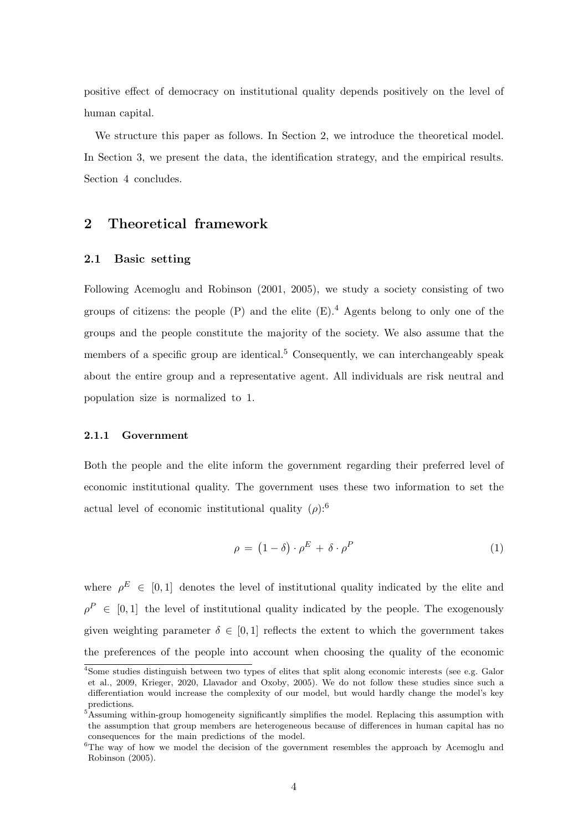positive effect of democracy on institutional quality depends positively on the level of human capital.

We structure this paper as follows. In Section [2,](#page-4-0) we introduce the theoretical model. In Section [3,](#page-12-0) we present the data, the identification strategy, and the empirical results. Section [4](#page-21-0) concludes.

## <span id="page-4-0"></span>2 Theoretical framework

#### 2.1 Basic setting

Following [Acemoglu and Robinson](#page-22-9) [\(2001,](#page-22-9) [2005\)](#page-22-10), we study a society consisting of two groups of citizens: the people  $(P)$  and the elite  $(E)$ .<sup>[4](#page-0-0)</sup> Agents belong to only one of the groups and the people constitute the majority of the society. We also assume that the members of a specific group are identical.<sup>[5](#page-0-0)</sup> Consequently, we can interchangeably speak about the entire group and a representative agent. All individuals are risk neutral and population size is normalized to 1.

#### 2.1.1 Government

Both the people and the elite inform the government regarding their preferred level of economic institutional quality. The government uses these two information to set the actual level of economic institutional quality  $(\rho)$ :<sup>[6](#page-0-0)</sup>

$$
\rho = (1 - \delta) \cdot \rho^E + \delta \cdot \rho^P \tag{1}
$$

where  $\rho^E \in [0,1]$  denotes the level of institutional quality indicated by the elite and  $\rho^P \in [0,1]$  the level of institutional quality indicated by the people. The exogenously given weighting parameter  $\delta \in [0,1]$  reflects the extent to which the government takes the preferences of the people into account when choosing the quality of the economic

<sup>&</sup>lt;sup>4</sup>Some studies distinguish between two types of elites that split along economic interests (see e.g. [Galor](#page-24-8) [et al.,](#page-24-8) [2009,](#page-24-8) [Krieger,](#page-25-9) [2020,](#page-25-9) [Llavador and Oxoby,](#page-25-10) [2005\)](#page-25-10). We do not follow these studies since such a differentiation would increase the complexity of our model, but would hardly change the model's key predictions.

<sup>&</sup>lt;sup>5</sup>Assuming within-group homogeneity significantly simplifies the model. Replacing this assumption with the assumption that group members are heterogeneous because of differences in human capital has no consequences for the main predictions of the model.

 ${}^{6}$ The way of how we model the decision of the government resembles the approach by [Acemoglu and](#page-22-10) [Robinson](#page-22-10) [\(2005\)](#page-22-10).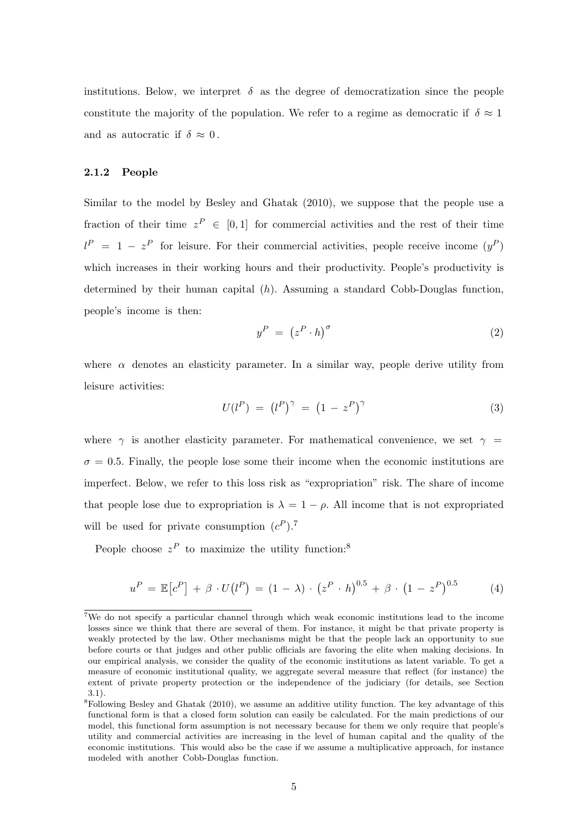institutions. Below, we interpret  $\delta$  as the degree of democratization since the people constitute the majority of the population. We refer to a regime as democratic if  $\delta \approx 1$ and as autocratic if  $\delta \approx 0$ .

#### 2.1.2 People

Similar to the model by [Besley and Ghatak](#page-23-4) [\(2010\)](#page-23-4), we suppose that the people use a fraction of their time  $z^P \in [0,1]$  for commercial activities and the rest of their time  $l^P = 1 - z^P$  for leisure. For their commercial activities, people receive income  $(y^P)$ which increases in their working hours and their productivity. People's productivity is determined by their human capital  $(h)$ . Assuming a standard Cobb-Douglas function, people's income is then:

$$
y^P = (z^P \cdot h)^\sigma \tag{2}
$$

where  $\alpha$  denotes an elasticity parameter. In a similar way, people derive utility from leisure activities:

$$
U(l^P) = (l^P)^\gamma = (1 - z^P)^\gamma \tag{3}
$$

where  $\gamma$  is another elasticity parameter. For mathematical convenience, we set  $\gamma$  =  $\sigma = 0.5$ . Finally, the people lose some their income when the economic institutions are imperfect. Below, we refer to this loss risk as "expropriation" risk. The share of income that people lose due to expropriation is  $\lambda = 1 - \rho$ . All income that is not expropriated will be used for private consumption  $(c^P)$ .<sup>[7](#page-0-0)</sup>

People choose  $z^P$  to maximize the utility function:<sup>[8](#page-0-0)</sup>

<span id="page-5-0"></span>
$$
u^{P} = \mathbb{E}[c^{P}] + \beta \cdot U(l^{P}) = (1 - \lambda) \cdot (z^{P} \cdot h)^{0.5} + \beta \cdot (1 - z^{P})^{0.5}
$$
 (4)

<sup>7</sup>We do not specify a particular channel through which weak economic institutions lead to the income losses since we think that there are several of them. For instance, it might be that private property is weakly protected by the law. Other mechanisms might be that the people lack an opportunity to sue before courts or that judges and other public officials are favoring the elite when making decisions. In our empirical analysis, we consider the quality of the economic institutions as latent variable. To get a measure of economic institutional quality, we aggregate several measure that reflect (for instance) the extent of private property protection or the independence of the judiciary (for details, see Section [3.1\)](#page-12-1).

<sup>&</sup>lt;sup>8</sup>Following [Besley and Ghatak](#page-23-4) [\(2010\)](#page-23-4), we assume an additive utility function. The key advantage of this functional form is that a closed form solution can easily be calculated. For the main predictions of our model, this functional form assumption is not necessary because for them we only require that people's utility and commercial activities are increasing in the level of human capital and the quality of the economic institutions. This would also be the case if we assume a multiplicative approach, for instance modeled with another Cobb-Douglas function.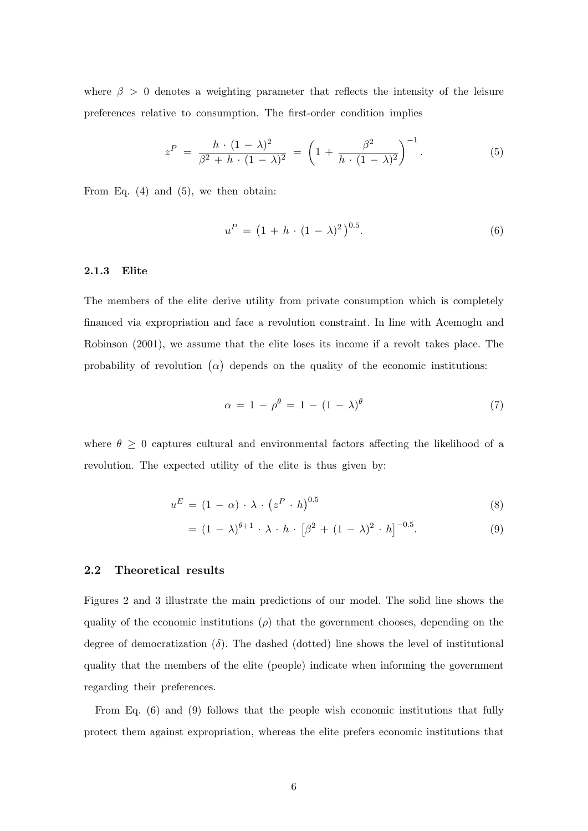where  $\beta > 0$  denotes a weighting parameter that reflects the intensity of the leisure preferences relative to consumption. The first-order condition implies

<span id="page-6-0"></span>
$$
z^{P} = \frac{h \cdot (1 - \lambda)^{2}}{\beta^{2} + h \cdot (1 - \lambda)^{2}} = \left(1 + \frac{\beta^{2}}{h \cdot (1 - \lambda)^{2}}\right)^{-1}.
$$
 (5)

From Eq.  $(4)$  and  $(5)$ , we then obtain:

<span id="page-6-1"></span>
$$
u^{P} = (1 + h \cdot (1 - \lambda)^{2})^{0.5}.
$$
 (6)

#### 2.1.3 Elite

The members of the elite derive utility from private consumption which is completely financed via expropriation and face a revolution constraint. In line with [Acemoglu and](#page-22-9) [Robinson](#page-22-9) [\(2001\)](#page-22-9), we assume that the elite loses its income if a revolt takes place. The probability of revolution  $(\alpha)$  depends on the quality of the economic institutions:

<span id="page-6-2"></span>
$$
\alpha = 1 - \rho^{\theta} = 1 - (1 - \lambda)^{\theta} \tag{7}
$$

where  $\theta \geq 0$  captures cultural and environmental factors affecting the likelihood of a revolution. The expected utility of the elite is thus given by:

$$
u^E = (1 - \alpha) \cdot \lambda \cdot (z^P \cdot h)^{0.5} \tag{8}
$$

$$
= (1 - \lambda)^{\theta + 1} \cdot \lambda \cdot h \cdot [\beta^2 + (1 - \lambda)^2 \cdot h]^{-0.5}.
$$
 (9)

#### <span id="page-6-3"></span>2.2 Theoretical results

Figures [2](#page-7-0) and [3](#page-8-0) illustrate the main predictions of our model. The solid line shows the quality of the economic institutions  $(\rho)$  that the government chooses, depending on the degree of democratization  $(\delta)$ . The dashed (dotted) line shows the level of institutional quality that the members of the elite (people) indicate when informing the government regarding their preferences.

From Eq. [\(6\)](#page-6-1) and [\(9\)](#page-6-2) follows that the people wish economic institutions that fully protect them against expropriation, whereas the elite prefers economic institutions that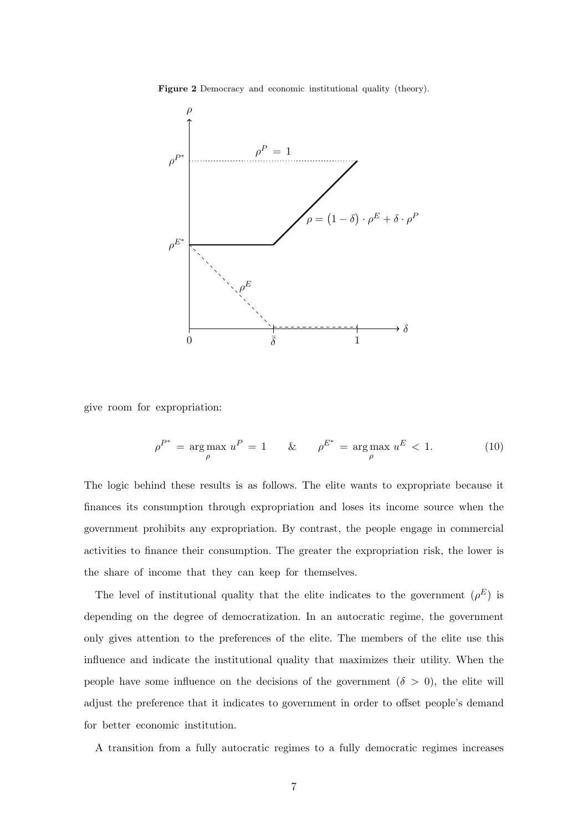Figure 2 Democracy and economic institutional quality (theory).

<span id="page-7-0"></span>

give room for expropriation:

$$
\rho^{P^*} = \arg \max_{\rho} u^P = 1 \qquad \& \qquad \rho^{E^*} = \arg \max_{\rho} u^E < 1. \tag{10}
$$

The logic behind these results is as follows. The elite wants to expropriate because it finances its consumption through expropriation and loses its income source when the government prohibits any expropriation. By contrast, the people engage in commercial activities to finance their consumption. The greater the expropriation risk, the lower is the share of income that they can keep for themselves.

The level of institutional quality that the elite indicates to the government  $(\rho^E)$  is depending on the degree of democratization. In an autocratic regime, the government only gives attention to the preferences of the elite. The members of the elite use this influence and indicate the institutional quality that maximizes their utility. When the people have some influence on the decisions of the government  $(\delta > 0)$ , the elite will adjust the preference that it indicates to government in order to offset people's demand for better economic institution.

A transition from a fully autocratic regimes to a fully democratic regimes increases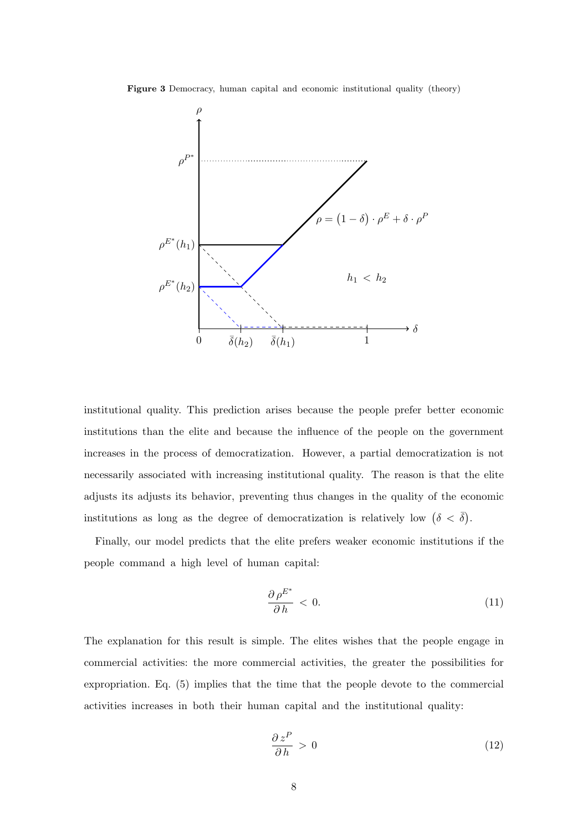<span id="page-8-0"></span>Figure 3 Democracy, human capital and economic institutional quality (theory)



institutional quality. This prediction arises because the people prefer better economic institutions than the elite and because the influence of the people on the government increases in the process of democratization. However, a partial democratization is not necessarily associated with increasing institutional quality. The reason is that the elite adjusts its adjusts its behavior, preventing thus changes in the quality of the economic institutions as long as the degree of democratization is relatively low  $(\delta < \overline{\delta})$ .

Finally, our model predicts that the elite prefers weaker economic institutions if the people command a high level of human capital:

$$
\frac{\partial \rho^{E^*}}{\partial h} < 0. \tag{11}
$$

The explanation for this result is simple. The elites wishes that the people engage in commercial activities: the more commercial activities, the greater the possibilities for expropriation. Eq. [\(5\)](#page-6-0) implies that the time that the people devote to the commercial activities increases in both their human capital and the institutional quality:

$$
\frac{\partial z^P}{\partial h} > 0 \tag{12}
$$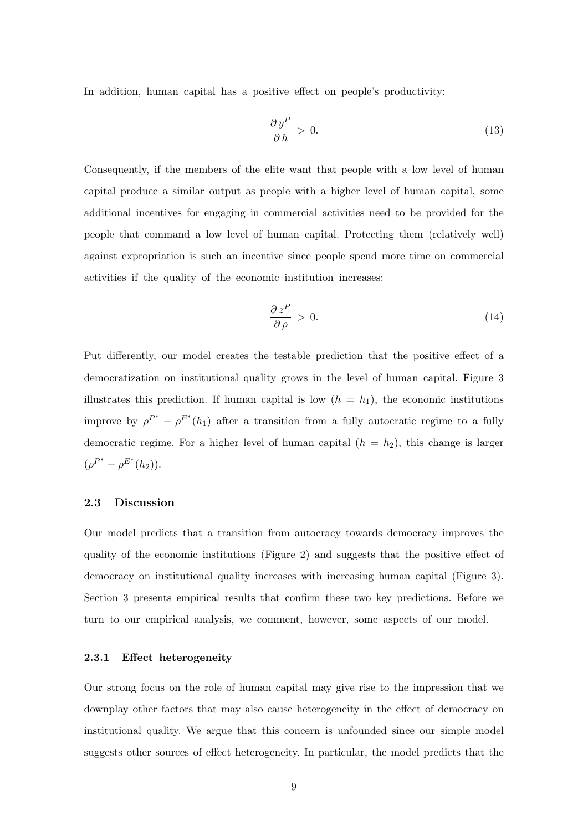In addition, human capital has a positive effect on people's productivity:

$$
\frac{\partial y^P}{\partial h} > 0. \tag{13}
$$

Consequently, if the members of the elite want that people with a low level of human capital produce a similar output as people with a higher level of human capital, some additional incentives for engaging in commercial activities need to be provided for the people that command a low level of human capital. Protecting them (relatively well) against expropriation is such an incentive since people spend more time on commercial activities if the quality of the economic institution increases:

$$
\frac{\partial z^P}{\partial \rho} > 0. \tag{14}
$$

Put differently, our model creates the testable prediction that the positive effect of a democratization on institutional quality grows in the level of human capital. Figure [3](#page-8-0) illustrates this prediction. If human capital is low  $(h = h_1)$ , the economic institutions improve by  $\rho^{P^*} - \rho^{E^*}(h_1)$  after a transition from a fully autocratic regime to a fully democratic regime. For a higher level of human capital  $(h = h_2)$ , this change is larger  $(\rho^{P^*} - \rho^{E^*}(h_2)).$ 

#### 2.3 Discussion

Our model predicts that a transition from autocracy towards democracy improves the quality of the economic institutions (Figure [2\)](#page-7-0) and suggests that the positive effect of democracy on institutional quality increases with increasing human capital (Figure [3\)](#page-8-0). Section 3 presents empirical results that confirm these two key predictions. Before we turn to our empirical analysis, we comment, however, some aspects of our model.

#### 2.3.1 Effect heterogeneity

Our strong focus on the role of human capital may give rise to the impression that we downplay other factors that may also cause heterogeneity in the effect of democracy on institutional quality. We argue that this concern is unfounded since our simple model suggests other sources of effect heterogeneity. In particular, the model predicts that the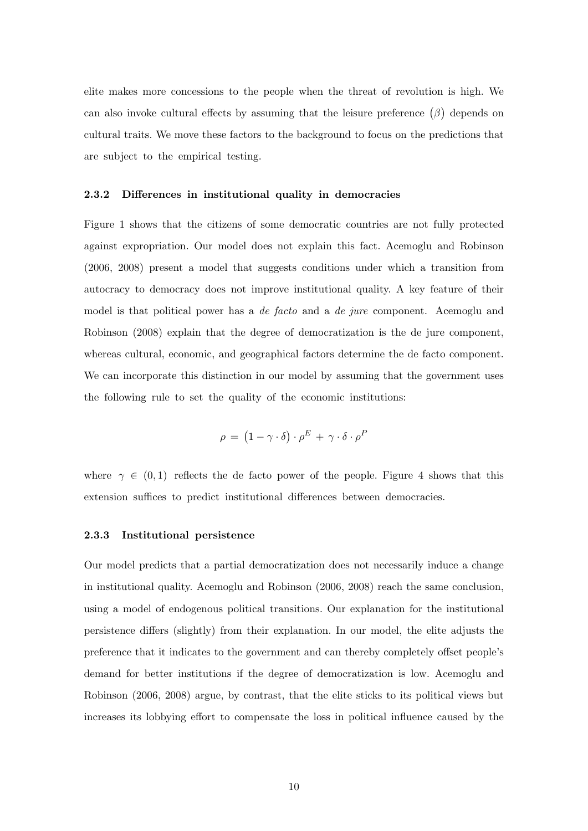elite makes more concessions to the people when the threat of revolution is high. We can also invoke cultural effects by assuming that the leisure preference  $(\beta)$  depends on cultural traits. We move these factors to the background to focus on the predictions that are subject to the empirical testing.

#### 2.3.2 Differences in institutional quality in democracies

Figure [1](#page-2-0) shows that the citizens of some democratic countries are not fully protected against expropriation. Our model does not explain this fact. [Acemoglu and Robinson](#page-22-5) [\(2006,](#page-22-5) [2008\)](#page-22-6) present a model that suggests conditions under which a transition from autocracy to democracy does not improve institutional quality. A key feature of their model is that political power has a *de facto* and a *de jure* component. [Acemoglu and](#page-22-6) [Robinson](#page-22-6) [\(2008\)](#page-22-6) explain that the degree of democratization is the de jure component, whereas cultural, economic, and geographical factors determine the de facto component. We can incorporate this distinction in our model by assuming that the government uses the following rule to set the quality of the economic institutions:

$$
\rho = (1 - \gamma \cdot \delta) \cdot \rho^E + \gamma \cdot \delta \cdot \rho^F
$$

where  $\gamma \in (0,1)$  reflects the de facto power of the people. Figure [4](#page-11-0) shows that this extension suffices to predict institutional differences between democracies.

#### 2.3.3 Institutional persistence

Our model predicts that a partial democratization does not necessarily induce a change in institutional quality. [Acemoglu and Robinson](#page-22-5) [\(2006,](#page-22-5) [2008\)](#page-22-6) reach the same conclusion, using a model of endogenous political transitions. Our explanation for the institutional persistence differs (slightly) from their explanation. In our model, the elite adjusts the preference that it indicates to the government and can thereby completely offset people's demand for better institutions if the degree of democratization is low. [Acemoglu and](#page-22-5) [Robinson](#page-22-5) [\(2006,](#page-22-5) [2008\)](#page-22-6) argue, by contrast, that the elite sticks to its political views but increases its lobbying effort to compensate the loss in political influence caused by the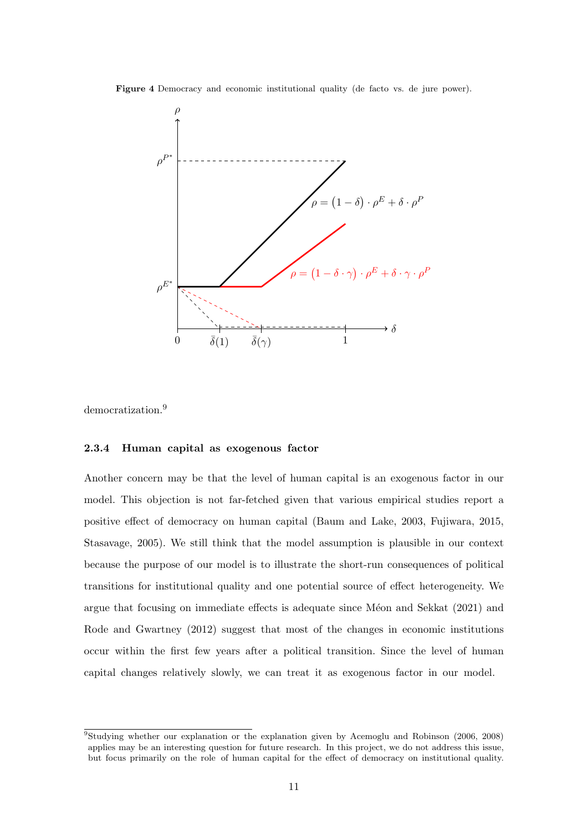<span id="page-11-0"></span>Figure 4 Democracy and economic institutional quality (de facto vs. de jure power).



democratization.<sup>[9](#page-0-0)</sup>

#### 2.3.4 Human capital as exogenous factor

Another concern may be that the level of human capital is an exogenous factor in our model. This objection is not far-fetched given that various empirical studies report a positive effect of democracy on human capital [\(Baum and Lake,](#page-23-5) [2003,](#page-23-5) [Fujiwara,](#page-23-6) [2015,](#page-23-6) [Stasavage,](#page-26-7) [2005\)](#page-26-7). We still think that the model assumption is plausible in our context because the purpose of our model is to illustrate the short-run consequences of political transitions for institutional quality and one potential source of effect heterogeneity. We argue that focusing on immediate effects is adequate since Méon and Sekkat [\(2021\)](#page-25-8) and [Rode and Gwartney](#page-26-6)  $(2012)$  suggest that most of the changes in economic institutions occur within the first few years after a political transition. Since the level of human capital changes relatively slowly, we can treat it as exogenous factor in our model.

<sup>9</sup>Studying whether our explanation or the explanation given by [Acemoglu and Robinson](#page-22-5) [\(2006,](#page-22-5) [2008\)](#page-22-6) applies may be an interesting question for future research. In this project, we do not address this issue, but focus primarily on the role of human capital for the effect of democracy on institutional quality.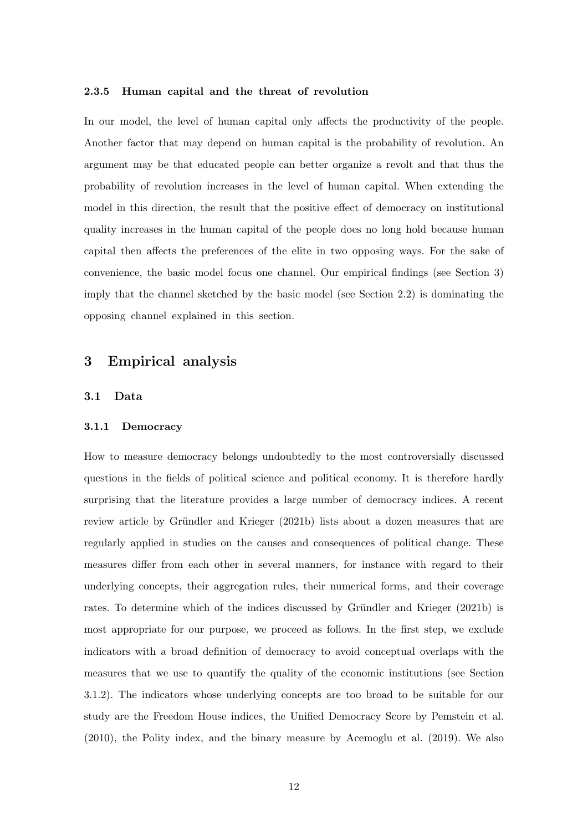#### 2.3.5 Human capital and the threat of revolution

In our model, the level of human capital only affects the productivity of the people. Another factor that may depend on human capital is the probability of revolution. An argument may be that educated people can better organize a revolt and that thus the probability of revolution increases in the level of human capital. When extending the model in this direction, the result that the positive effect of democracy on institutional quality increases in the human capital of the people does no long hold because human capital then affects the preferences of the elite in two opposing ways. For the sake of convenience, the basic model focus one channel. Our empirical findings (see Section [3\)](#page-12-0) imply that the channel sketched by the basic model (see Section [2.2\)](#page-6-3) is dominating the opposing channel explained in this section.

## <span id="page-12-0"></span>3 Empirical analysis

#### <span id="page-12-1"></span>3.1 Data

#### 3.1.1 Democracy

How to measure democracy belongs undoubtedly to the most controversially discussed questions in the fields of political science and political economy. It is therefore hardly surprising that the literature provides a large number of democracy indices. A recent review article by Gründler and Krieger [\(2021b\)](#page-24-3) lists about a dozen measures that are regularly applied in studies on the causes and consequences of political change. These measures differ from each other in several manners, for instance with regard to their underlying concepts, their aggregation rules, their numerical forms, and their coverage rates. To determine which of the indices discussed by Gründler and Krieger [\(2021b\)](#page-24-3) is most appropriate for our purpose, we proceed as follows. In the first step, we exclude indicators with a broad definition of democracy to avoid conceptual overlaps with the measures that we use to quantify the quality of the economic institutions (see Section 3.1.2). The indicators whose underlying concepts are too broad to be suitable for our study are the Freedom House indices, the Unified Democracy Score by [Pemstein et al.](#page-25-11) [\(2010\)](#page-25-11), the Polity index, and the binary measure by [Acemoglu et al.](#page-22-11) [\(2019\)](#page-22-11). We also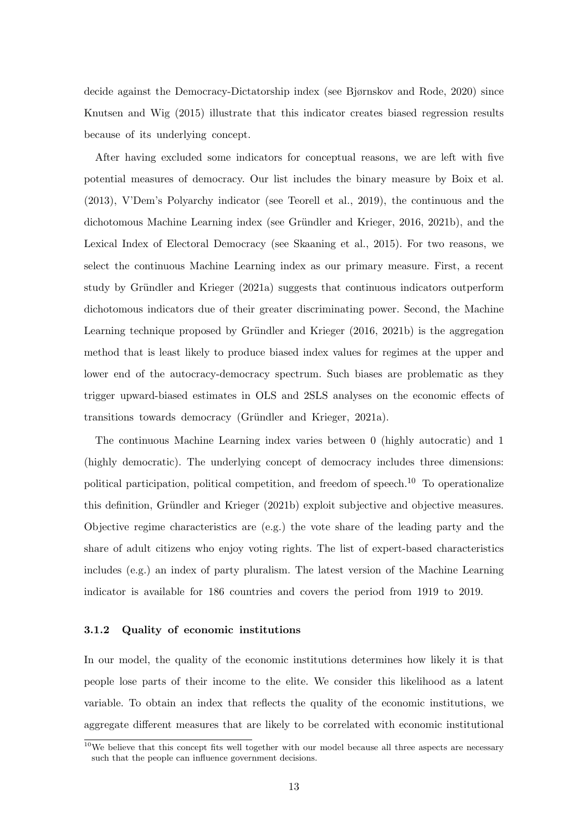decide against the Democracy-Dictatorship index (see [Bjørnskov and Rode,](#page-23-7) [2020\)](#page-23-7) since [Knutsen and Wig](#page-24-9) [\(2015\)](#page-24-9) illustrate that this indicator creates biased regression results because of its underlying concept.

After having excluded some indicators for conceptual reasons, we are left with five potential measures of democracy. Our list includes the binary measure by [Boix et al.](#page-23-8) [\(2013\)](#page-23-8), V'Dem's Polyarchy indicator (see [Teorell et al.,](#page-26-8) [2019\)](#page-26-8), the continuous and the dichotomous Machine Learning index (see Gründler and Krieger, [2016,](#page-24-10) [2021b\)](#page-24-3), and the Lexical Index of Electoral Democracy (see [Skaaning et al.,](#page-26-9) [2015\)](#page-26-9). For two reasons, we select the continuous Machine Learning index as our primary measure. First, a recent study by Gründler and Krieger  $(2021a)$  suggests that continuous indicators outperform dichotomous indicators due of their greater discriminating power. Second, the Machine Learning technique proposed by Gründler and Krieger  $(2016, 2021b)$  $(2016, 2021b)$  $(2016, 2021b)$  is the aggregation method that is least likely to produce biased index values for regimes at the upper and lower end of the autocracy-democracy spectrum. Such biases are problematic as they trigger upward-biased estimates in OLS and 2SLS analyses on the economic effects of transitions towards democracy (Gründler and Krieger, 2021a).

The continuous Machine Learning index varies between 0 (highly autocratic) and 1 (highly democratic). The underlying concept of democracy includes three dimensions: political participation, political competition, and freedom of speech.<sup>[10](#page-0-0)</sup> To operationalize this definition, Gründler and Krieger [\(2021b\)](#page-24-3) exploit subjective and objective measures. Objective regime characteristics are  $(e.g.)$  the vote share of the leading party and the share of adult citizens who enjoy voting rights. The list of expert-based characteristics includes (e.g.) an index of party pluralism. The latest version of the Machine Learning indicator is available for 186 countries and covers the period from 1919 to 2019.

#### 3.1.2 Quality of economic institutions

In our model, the quality of the economic institutions determines how likely it is that people lose parts of their income to the elite. We consider this likelihood as a latent variable. To obtain an index that reflects the quality of the economic institutions, we aggregate different measures that are likely to be correlated with economic institutional

 $10$ We believe that this concept fits well together with our model because all three aspects are necessary such that the people can influence government decisions.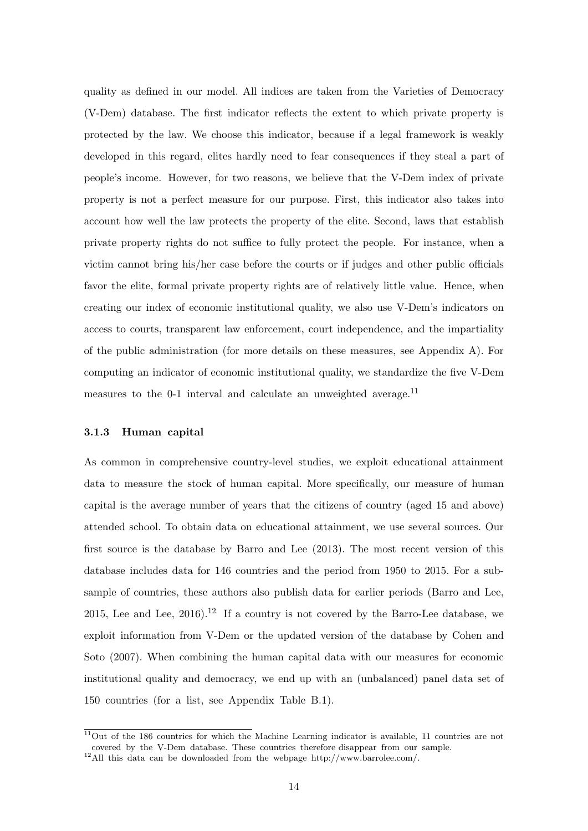quality as defined in our model. All indices are taken from the Varieties of Democracy (V-Dem) database. The first indicator reflects the extent to which private property is protected by the law. We choose this indicator, because if a legal framework is weakly developed in this regard, elites hardly need to fear consequences if they steal a part of people's income. However, for two reasons, we believe that the V-Dem index of private property is not a perfect measure for our purpose. First, this indicator also takes into account how well the law protects the property of the elite. Second, laws that establish private property rights do not suffice to fully protect the people. For instance, when a victim cannot bring his/her case before the courts or if judges and other public officials favor the elite, formal private property rights are of relatively little value. Hence, when creating our index of economic institutional quality, we also use V-Dem's indicators on access to courts, transparent law enforcement, court independence, and the impartiality of the public administration (for more details on these measures, see Appendix [A\)](#page-27-0). For computing an indicator of economic institutional quality, we standardize the five V-Dem measures to the 0-1 interval and calculate an unweighted average.<sup>[11](#page-0-0)</sup>

#### 3.1.3 Human capital

As common in comprehensive country-level studies, we exploit educational attainment data to measure the stock of human capital. More specifically, our measure of human capital is the average number of years that the citizens of country (aged 15 and above) attended school. To obtain data on educational attainment, we use several sources. Our first source is the database by [Barro and Lee](#page-23-9) [\(2013\)](#page-23-9). The most recent version of this database includes data for 146 countries and the period from 1950 to 2015. For a subsample of countries, these authors also publish data for earlier periods [\(Barro and Lee,](#page-23-10) [2015,](#page-23-10) [Lee and Lee,](#page-25-12)  $2016$ .<sup>[12](#page-0-0)</sup> If a country is not covered by the Barro-Lee database, we exploit information from V-Dem or the updated version of the database by [Cohen and](#page-23-11) [Soto](#page-23-11) [\(2007\)](#page-23-11). When combining the human capital data with our measures for economic institutional quality and democracy, we end up with an (unbalanced) panel data set of 150 countries (for a list, see Appendix Table [B.1\)](#page-31-0).

<sup>11</sup>Out of the 186 countries for which the Machine Learning indicator is available, 11 countries are not covered by the V-Dem database. These countries therefore disappear from our sample.

<sup>12</sup>All this data can be downloaded from the webpage [http://www.barrolee.com/.](http://www.barrolee.com/)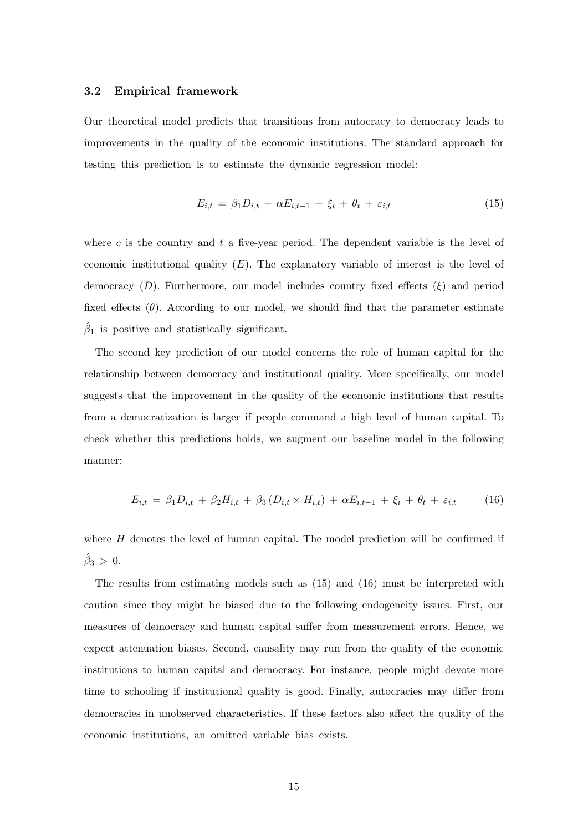#### 3.2 Empirical framework

Our theoretical model predicts that transitions from autocracy to democracy leads to improvements in the quality of the economic institutions. The standard approach for testing this prediction is to estimate the dynamic regression model:

<span id="page-15-0"></span>
$$
E_{i,t} = \beta_1 D_{i,t} + \alpha E_{i,t-1} + \xi_i + \theta_t + \varepsilon_{i,t} \tag{15}
$$

where  $c$  is the country and  $t$  a five-year period. The dependent variable is the level of economic institutional quality  $(E)$ . The explanatory variable of interest is the level of democracy  $(D)$ . Furthermore, our model includes country fixed effects  $(\xi)$  and period fixed effects  $(\theta)$ . According to our model, we should find that the parameter estimate  $\hat{\beta}_1$  is positive and statistically significant.

The second key prediction of our model concerns the role of human capital for the relationship between democracy and institutional quality. More specifically, our model suggests that the improvement in the quality of the economic institutions that results from a democratization is larger if people command a high level of human capital. To check whether this predictions holds, we augment our baseline model in the following manner:

<span id="page-15-1"></span>
$$
E_{i,t} = \beta_1 D_{i,t} + \beta_2 H_{i,t} + \beta_3 (D_{i,t} \times H_{i,t}) + \alpha E_{i,t-1} + \xi_i + \theta_t + \varepsilon_{i,t} \tag{16}
$$

where  $H$  denotes the level of human capital. The model prediction will be confirmed if  $\hat{\beta}_3 > 0.$ 

The results from estimating models such as [\(15\)](#page-15-0) and [\(16\)](#page-15-1) must be interpreted with caution since they might be biased due to the following endogeneity issues. First, our measures of democracy and human capital suffer from measurement errors. Hence, we expect attenuation biases. Second, causality may run from the quality of the economic institutions to human capital and democracy. For instance, people might devote more time to schooling if institutional quality is good. Finally, autocracies may differ from democracies in unobserved characteristics. If these factors also affect the quality of the economic institutions, an omitted variable bias exists.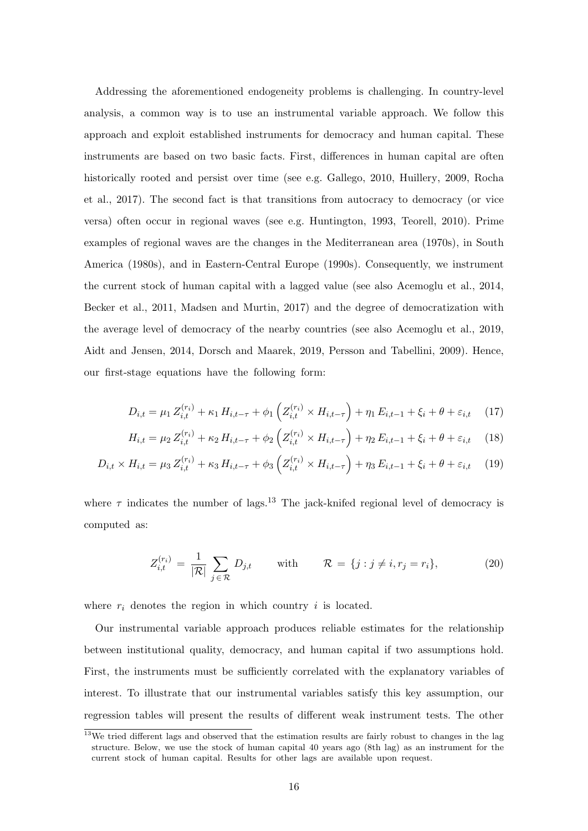Addressing the aforementioned endogeneity problems is challenging. In country-level analysis, a common way is to use an instrumental variable approach. We follow this approach and exploit established instruments for democracy and human capital. These instruments are based on two basic facts. First, differences in human capital are often historically rooted and persist over time (see e.g. [Gallego,](#page-24-12) [2010,](#page-24-12) [Huillery,](#page-24-13) [2009,](#page-24-13) [Rocha](#page-26-10) [et al.,](#page-26-10) [2017\)](#page-26-10). The second fact is that transitions from autocracy to democracy (or vice versa) often occur in regional waves (see e.g. [Huntington,](#page-24-14) [1993,](#page-24-14) [Teorell,](#page-26-11) [2010\)](#page-26-11). Prime examples of regional waves are the changes in the Mediterranean area (1970s), in South America (1980s), and in Eastern-Central Europe (1990s). Consequently, we instrument the current stock of human capital with a lagged value (see also [Acemoglu et al.,](#page-22-12) [2014,](#page-22-12) [Becker et al.,](#page-23-12) [2011,](#page-23-12) [Madsen and Murtin,](#page-25-13) [2017\)](#page-25-13) and the degree of democratization with the average level of democracy of the nearby countries (see also [Acemoglu et al.,](#page-22-11) [2019,](#page-22-11) [Aidt and Jensen,](#page-22-13) [2014,](#page-22-13) [Dorsch and Maarek,](#page-23-13) [2019,](#page-23-13) [Persson and Tabellini,](#page-25-14) [2009\)](#page-25-14). Hence, our first-stage equations have the following form:

$$
D_{i,t} = \mu_1 Z_{i,t}^{(r_i)} + \kappa_1 H_{i,t-\tau} + \phi_1 \left( Z_{i,t}^{(r_i)} \times H_{i,t-\tau} \right) + \eta_1 E_{i,t-1} + \xi_i + \theta + \varepsilon_{i,t} \tag{17}
$$

$$
H_{i,t} = \mu_2 Z_{i,t}^{(r_i)} + \kappa_2 H_{i,t-\tau} + \phi_2 \left( Z_{i,t}^{(r_i)} \times H_{i,t-\tau} \right) + \eta_2 E_{i,t-1} + \xi_i + \theta + \varepsilon_{i,t} \tag{18}
$$

$$
D_{i,t} \times H_{i,t} = \mu_3 Z_{i,t}^{(r_i)} + \kappa_3 H_{i,t-\tau} + \phi_3 \left( Z_{i,t}^{(r_i)} \times H_{i,t-\tau} \right) + \eta_3 E_{i,t-1} + \xi_i + \theta + \varepsilon_{i,t} \tag{19}
$$

where  $\tau$  indicates the number of lags.<sup>[13](#page-0-0)</sup> The jack-knifed regional level of democracy is computed as:

$$
Z_{i,t}^{(r_i)} = \frac{1}{|\mathcal{R}|} \sum_{j \in \mathcal{R}} D_{j,t} \quad \text{with} \quad \mathcal{R} = \{j : j \neq i, r_j = r_i\}, \tag{20}
$$

where  $r_i$  denotes the region in which country i is located.

Our instrumental variable approach produces reliable estimates for the relationship between institutional quality, democracy, and human capital if two assumptions hold. First, the instruments must be sufficiently correlated with the explanatory variables of interest. To illustrate that our instrumental variables satisfy this key assumption, our regression tables will present the results of different weak instrument tests. The other

<sup>&</sup>lt;sup>13</sup>We tried different lags and observed that the estimation results are fairly robust to changes in the lag structure. Below, we use the stock of human capital 40 years ago (8th lag) as an instrument for the current stock of human capital. Results for other lags are available upon request.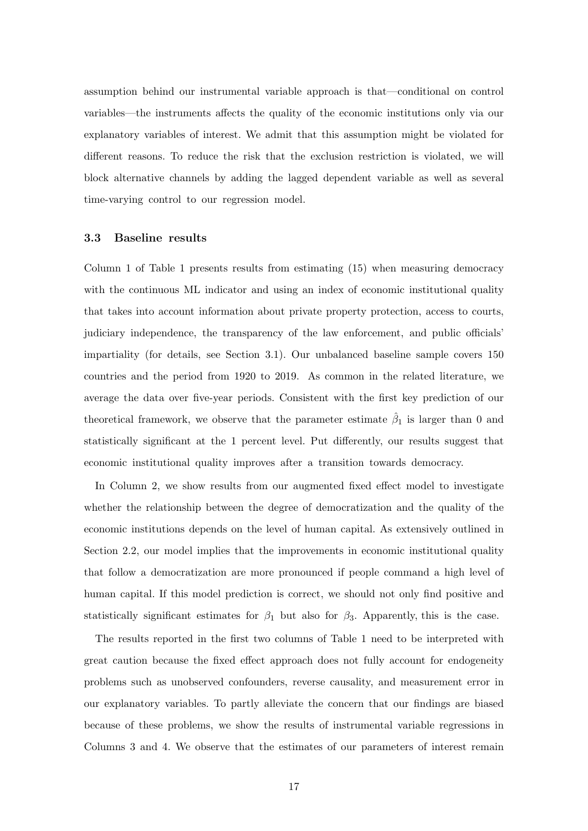assumption behind our instrumental variable approach is that—conditional on control variables—the instruments affects the quality of the economic institutions only via our explanatory variables of interest. We admit that this assumption might be violated for different reasons. To reduce the risk that the exclusion restriction is violated, we will block alternative channels by adding the lagged dependent variable as well as several time-varying control to our regression model.

#### 3.3 Baseline results

Column 1 of Table [1](#page-18-0) presents results from estimating [\(15\)](#page-15-0) when measuring democracy with the continuous ML indicator and using an index of economic institutional quality that takes into account information about private property protection, access to courts, judiciary independence, the transparency of the law enforcement, and public officials' impartiality (for details, see Section [3.1\)](#page-12-1). Our unbalanced baseline sample covers 150 countries and the period from 1920 to 2019. As common in the related literature, we average the data over five-year periods. Consistent with the first key prediction of our theoretical framework, we observe that the parameter estimate  $\hat{\beta}_1$  is larger than 0 and statistically significant at the 1 percent level. Put differently, our results suggest that economic institutional quality improves after a transition towards democracy.

In Column 2, we show results from our augmented fixed effect model to investigate whether the relationship between the degree of democratization and the quality of the economic institutions depends on the level of human capital. As extensively outlined in Section [2.2,](#page-6-3) our model implies that the improvements in economic institutional quality that follow a democratization are more pronounced if people command a high level of human capital. If this model prediction is correct, we should not only find positive and statistically significant estimates for  $\beta_1$  but also for  $\beta_3$ . Apparently, this is the case.

The results reported in the first two columns of Table [1](#page-18-0) need to be interpreted with great caution because the fixed effect approach does not fully account for endogeneity problems such as unobserved confounders, reverse causality, and measurement error in our explanatory variables. To partly alleviate the concern that our findings are biased because of these problems, we show the results of instrumental variable regressions in Columns 3 and 4. We observe that the estimates of our parameters of interest remain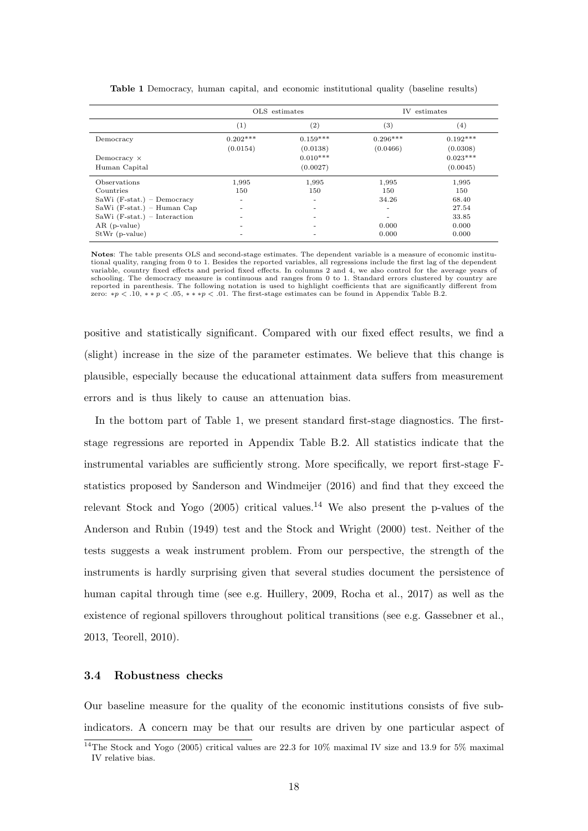<span id="page-18-0"></span>

|                                | OLS estimates |                   |            | IV estimates |
|--------------------------------|---------------|-------------------|------------|--------------|
|                                | (1)           | $\left( 2\right)$ | $^{(3)}$   | $^{(4)}$     |
| Democracy                      | $0.202***$    | $0.159***$        | $0.296***$ | $0.192***$   |
|                                | (0.0154)      | (0.0138)          | (0.0466)   | (0.0308)     |
| Democracy $\times$             |               | $0.010***$        |            | $0.023***$   |
| Human Capital                  |               | (0.0027)          |            | (0.0045)     |
| Observations                   | 1,995         | 1,995             | 1,995      | 1,995        |
| Countries                      | 150           | 150               | 150        | 150          |
| SaWi $(F-stat.)$ – Democracy   | -             | ۰                 | 34.26      | 68.40        |
| $Sawi$ (F-stat.) – Human Cap   |               | -                 | ۰          | 27.54        |
| SaWi $(F-stat.)$ – Interaction |               |                   | ٠          | 33.85        |
| $AR$ (p-value)                 |               |                   | 0.000      | 0.000        |
| $StWr$ (p-value)               |               |                   | 0.000      | 0.000        |

Table 1 Democracy, human capital, and economic institutional quality (baseline results)

Notes: The table presents OLS and second-stage estimates. The dependent variable is a measure of economic institutional quality, ranging from 0 to 1. Besides the reported variables, all regressions include the first lag of the dependent variable, country fixed effects and period fixed effects. In columns 2 and 4, we also control for the average years of schooling. The democracy measure is continuous and ranges from 0 to 1. Standard errors clustered by country are reported in parenthesis. The following notation is used to highlight coefficients that are significantly different from<br>zero: \*p < .10, \* \* p < .05, \* \* \*p < .01. The first-stage estimates can be found in Appendix Table B

positive and statistically significant. Compared with our fixed effect results, we find a (slight) increase in the size of the parameter estimates. We believe that this change is plausible, especially because the educational attainment data suffers from measurement errors and is thus likely to cause an attenuation bias.

In the bottom part of Table [1,](#page-18-0) we present standard first-stage diagnostics. The firststage regressions are reported in Appendix Table [B.2.](#page-32-0) All statistics indicate that the instrumental variables are sufficiently strong. More specifically, we report first-stage Fstatistics proposed by [Sanderson and Windmeijer](#page-26-12) [\(2016\)](#page-26-12) and find that they exceed the relevant [Stock and Yogo](#page-26-13) [\(2005\)](#page-26-13) critical values.<sup>[14](#page-0-0)</sup> We also present the p-values of the [Anderson and Rubin](#page-22-14) [\(1949\)](#page-22-14) test and the [Stock and Wright](#page-26-14) [\(2000\)](#page-26-14) test. Neither of the tests suggests a weak instrument problem. From our perspective, the strength of the instruments is hardly surprising given that several studies document the persistence of human capital through time (see e.g. [Huillery,](#page-24-13) [2009,](#page-24-13) [Rocha et al.,](#page-26-10) [2017\)](#page-26-10) as well as the existence of regional spillovers throughout political transitions (see e.g. [Gassebner et al.,](#page-24-15) [2013,](#page-24-15) [Teorell,](#page-26-11) [2010\)](#page-26-11).

#### 3.4 Robustness checks

Our baseline measure for the quality of the economic institutions consists of five subindicators. A concern may be that our results are driven by one particular aspect of

<sup>14</sup>The [Stock and Yogo](#page-26-13) [\(2005\)](#page-26-13) critical values are 22.3 for 10% maximal IV size and 13.9 for 5% maximal IV relative bias.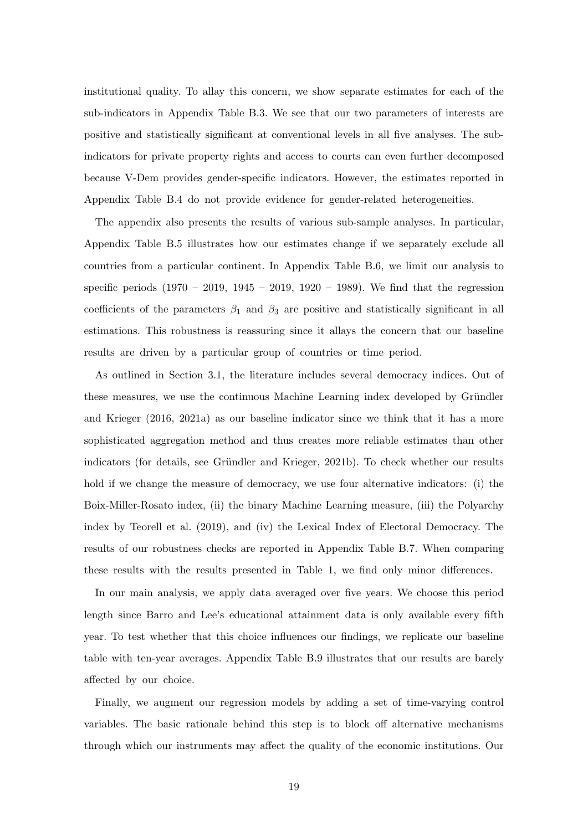institutional quality. To allay this concern, we show separate estimates for each of the sub-indicators in Appendix Table [B.3.](#page-32-1) We see that our two parameters of interests are positive and statistically significant at conventional levels in all five analyses. The subindicators for private property rights and access to courts can even further decomposed because V-Dem provides gender-specific indicators. However, the estimates reported in Appendix Table [B.4](#page-33-0) do not provide evidence for gender-related heterogeneities.

The appendix also presents the results of various sub-sample analyses. In particular, Appendix Table [B.5](#page-33-1) illustrates how our estimates change if we separately exclude all countries from a particular continent. In Appendix Table [B.6,](#page-34-0) we limit our analysis to specific periods  $(1970 - 2019, 1945 - 2019, 1920 - 1989)$ . We find that the regression coefficients of the parameters  $\beta_1$  and  $\beta_3$  are positive and statistically significant in all estimations. This robustness is reassuring since it allays the concern that our baseline results are driven by a particular group of countries or time period.

As outlined in Section [3.1,](#page-12-1) the literature includes several democracy indices. Out of these measures, we use the continuous Machine Learning index developed by Gründler [and Krieger](#page-24-10) [\(2016,](#page-24-10) [2021a\)](#page-24-11) as our baseline indicator since we think that it has a more sophisticated aggregation method and thus creates more reliable estimates than other indicators (for details, see Gründler and Krieger, [2021b\)](#page-24-3). To check whether our results hold if we change the measure of democracy, we use four alternative indicators: (i) the Boix-Miller-Rosato index, (ii) the binary Machine Learning measure, (iii) the Polyarchy index by [Teorell et al.](#page-26-8) [\(2019\)](#page-26-8), and (iv) the Lexical Index of Electoral Democracy. The results of our robustness checks are reported in Appendix Table [B.7.](#page-34-1) When comparing these results with the results presented in Table [1,](#page-18-0) we find only minor differences.

In our main analysis, we apply data averaged over five years. We choose this period length since Barro and Lee's educational attainment data is only available every fifth year. To test whether that this choice influences our findings, we replicate our baseline table with ten-year averages. Appendix Table [B.9](#page-35-0) illustrates that our results are barely affected by our choice.

Finally, we augment our regression models by adding a set of time-varying control variables. The basic rationale behind this step is to block off alternative mechanisms through which our instruments may affect the quality of the economic institutions. Our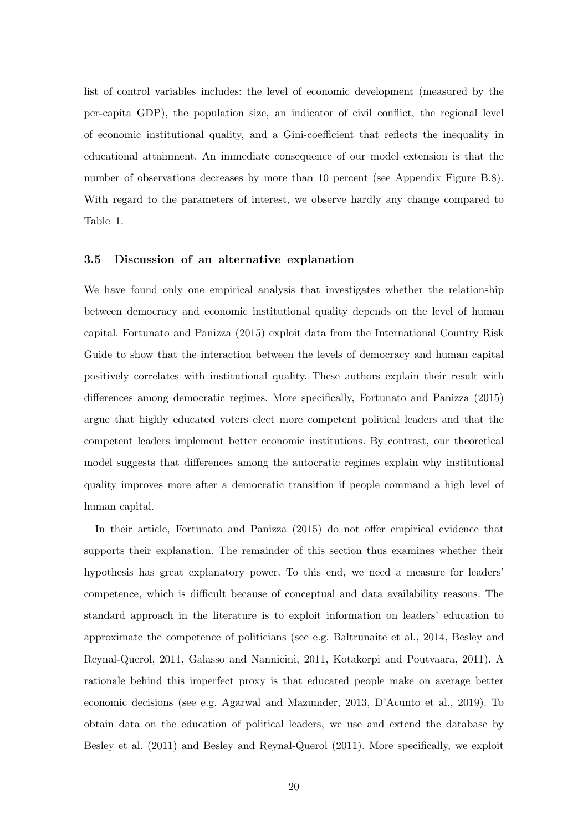list of control variables includes: the level of economic development (measured by the per-capita GDP), the population size, an indicator of civil conflict, the regional level of economic institutional quality, and a Gini-coefficient that reflects the inequality in educational attainment. An immediate consequence of our model extension is that the number of observations decreases by more than 10 percent (see Appendix Figure [B.8\)](#page-35-1). With regard to the parameters of interest, we observe hardly any change compared to Table [1.](#page-18-0)

#### 3.5 Discussion of an alternative explanation

We have found only one empirical analysis that investigates whether the relationship between democracy and economic institutional quality depends on the level of human capital. [Fortunato and Panizza](#page-23-2) [\(2015\)](#page-23-2) exploit data from the International Country Risk Guide to show that the interaction between the levels of democracy and human capital positively correlates with institutional quality. These authors explain their result with differences among democratic regimes. More specifically, [Fortunato and Panizza](#page-23-2) [\(2015\)](#page-23-2) argue that highly educated voters elect more competent political leaders and that the competent leaders implement better economic institutions. By contrast, our theoretical model suggests that differences among the autocratic regimes explain why institutional quality improves more after a democratic transition if people command a high level of human capital.

In their article, [Fortunato and Panizza](#page-23-2) [\(2015\)](#page-23-2) do not offer empirical evidence that supports their explanation. The remainder of this section thus examines whether their hypothesis has great explanatory power. To this end, we need a measure for leaders' competence, which is difficult because of conceptual and data availability reasons. The standard approach in the literature is to exploit information on leaders' education to approximate the competence of politicians (see e.g. [Baltrunaite et al.,](#page-22-15) [2014,](#page-22-15) [Besley and](#page-23-14) [Reynal-Querol,](#page-23-14) [2011,](#page-23-14) [Galasso and Nannicini,](#page-24-16) [2011,](#page-24-16) [Kotakorpi and Poutvaara,](#page-25-15) [2011\)](#page-25-15). A rationale behind this imperfect proxy is that educated people make on average better economic decisions (see e.g. [Agarwal and Mazumder,](#page-22-16) [2013,](#page-22-16) [D'Acunto et al.,](#page-23-15) [2019\)](#page-23-15). To obtain data on the education of political leaders, we use and extend the database by [Besley et al.](#page-23-16) [\(2011\)](#page-23-16) and [Besley and Reynal-Querol](#page-23-14) [\(2011\)](#page-23-14). More specifically, we exploit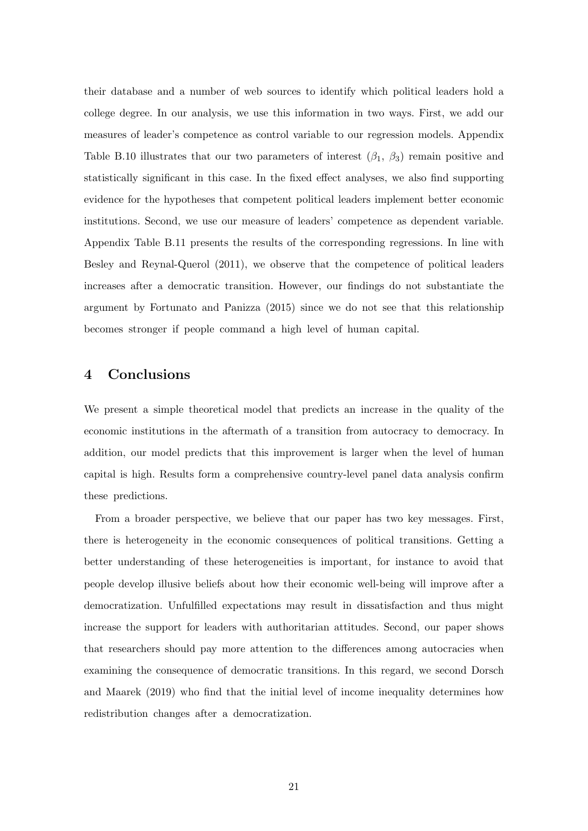their database and a number of web sources to identify which political leaders hold a college degree. In our analysis, we use this information in two ways. First, we add our measures of leader's competence as control variable to our regression models. Appendix Table [B.10](#page-36-0) illustrates that our two parameters of interest  $(\beta_1, \beta_3)$  remain positive and statistically significant in this case. In the fixed effect analyses, we also find supporting evidence for the hypotheses that competent political leaders implement better economic institutions. Second, we use our measure of leaders' competence as dependent variable. Appendix Table [B.11](#page-36-1) presents the results of the corresponding regressions. In line with [Besley and Reynal-Querol](#page-23-14) [\(2011\)](#page-23-14), we observe that the competence of political leaders increases after a democratic transition. However, our findings do not substantiate the argument by [Fortunato and Panizza](#page-23-2) [\(2015\)](#page-23-2) since we do not see that this relationship becomes stronger if people command a high level of human capital.

## <span id="page-21-0"></span>4 Conclusions

We present a simple theoretical model that predicts an increase in the quality of the economic institutions in the aftermath of a transition from autocracy to democracy. In addition, our model predicts that this improvement is larger when the level of human capital is high. Results form a comprehensive country-level panel data analysis confirm these predictions.

From a broader perspective, we believe that our paper has two key messages. First, there is heterogeneity in the economic consequences of political transitions. Getting a better understanding of these heterogeneities is important, for instance to avoid that people develop illusive beliefs about how their economic well-being will improve after a democratization. Unfulfilled expectations may result in dissatisfaction and thus might increase the support for leaders with authoritarian attitudes. Second, our paper shows that researchers should pay more attention to the differences among autocracies when examining the consequence of democratic transitions. In this regard, we second [Dorsch](#page-23-13) [and Maarek](#page-23-13) [\(2019\)](#page-23-13) who find that the initial level of income inequality determines how redistribution changes after a democratization.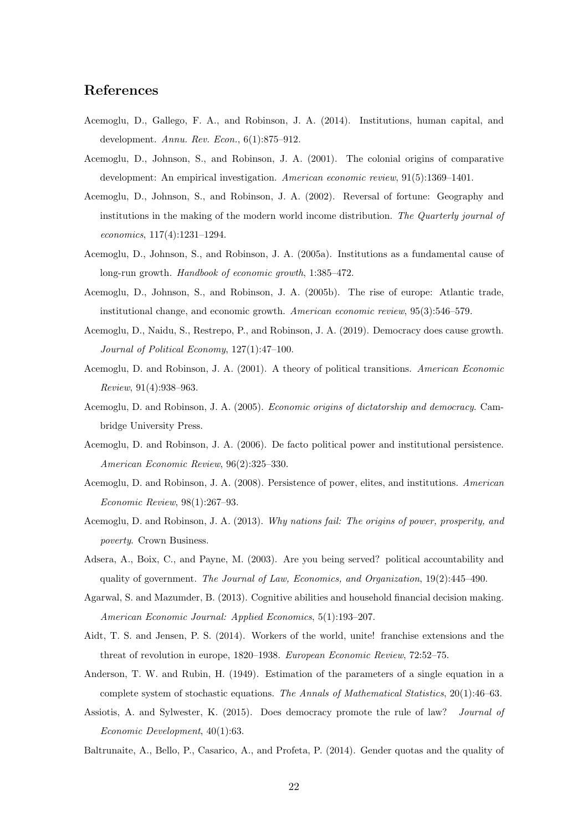## References

- <span id="page-22-12"></span>Acemoglu, D., Gallego, F. A., and Robinson, J. A. (2014). Institutions, human capital, and development. Annu. Rev. Econ., 6(1):875–912.
- <span id="page-22-0"></span>Acemoglu, D., Johnson, S., and Robinson, J. A. (2001). The colonial origins of comparative development: An empirical investigation. American economic review, 91(5):1369–1401.
- <span id="page-22-1"></span>Acemoglu, D., Johnson, S., and Robinson, J. A. (2002). Reversal of fortune: Geography and institutions in the making of the modern world income distribution. The Quarterly journal of economics, 117(4):1231–1294.
- <span id="page-22-2"></span>Acemoglu, D., Johnson, S., and Robinson, J. A. (2005a). Institutions as a fundamental cause of long-run growth. Handbook of economic growth, 1:385–472.
- <span id="page-22-3"></span>Acemoglu, D., Johnson, S., and Robinson, J. A. (2005b). The rise of europe: Atlantic trade, institutional change, and economic growth. American economic review, 95(3):546–579.
- <span id="page-22-11"></span>Acemoglu, D., Naidu, S., Restrepo, P., and Robinson, J. A. (2019). Democracy does cause growth. Journal of Political Economy, 127(1):47–100.
- <span id="page-22-9"></span>Acemoglu, D. and Robinson, J. A. (2001). A theory of political transitions. American Economic Review, 91(4):938–963.
- <span id="page-22-10"></span>Acemoglu, D. and Robinson, J. A. (2005). Economic origins of dictatorship and democracy. Cambridge University Press.
- <span id="page-22-5"></span>Acemoglu, D. and Robinson, J. A. (2006). De facto political power and institutional persistence. American Economic Review, 96(2):325–330.
- <span id="page-22-6"></span>Acemoglu, D. and Robinson, J. A. (2008). Persistence of power, elites, and institutions. American Economic Review, 98(1):267–93.
- <span id="page-22-4"></span>Acemoglu, D. and Robinson, J. A. (2013). Why nations fail: The origins of power, prosperity, and poverty. Crown Business.
- <span id="page-22-7"></span>Adsera, A., Boix, C., and Payne, M. (2003). Are you being served? political accountability and quality of government. The Journal of Law, Economics, and Organization,  $19(2):445-490$ .
- <span id="page-22-16"></span>Agarwal, S. and Mazumder, B. (2013). Cognitive abilities and household financial decision making. American Economic Journal: Applied Economics, 5(1):193–207.
- <span id="page-22-13"></span>Aidt, T. S. and Jensen, P. S. (2014). Workers of the world, unite! franchise extensions and the threat of revolution in europe, 1820–1938. European Economic Review, 72:52–75.
- <span id="page-22-14"></span>Anderson, T. W. and Rubin, H. (1949). Estimation of the parameters of a single equation in a complete system of stochastic equations. The Annals of Mathematical Statistics, 20(1):46–63.
- <span id="page-22-8"></span>Assiotis, A. and Sylwester, K. (2015). Does democracy promote the rule of law? Journal of Economic Development, 40(1):63.
- <span id="page-22-15"></span>Baltrunaite, A., Bello, P., Casarico, A., and Profeta, P. (2014). Gender quotas and the quality of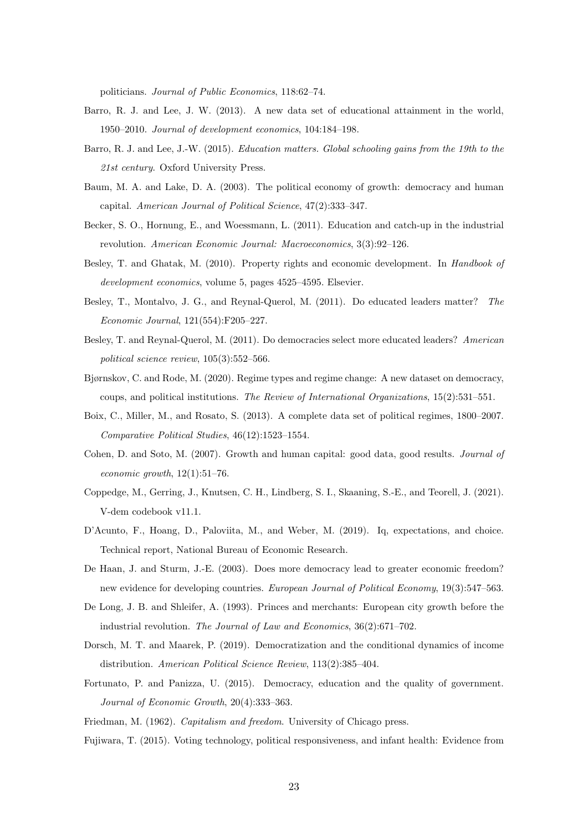politicians. Journal of Public Economics, 118:62–74.

- <span id="page-23-9"></span>Barro, R. J. and Lee, J. W. (2013). A new data set of educational attainment in the world, 1950–2010. Journal of development economics, 104:184–198.
- <span id="page-23-10"></span>Barro, R. J. and Lee, J.-W. (2015). Education matters. Global schooling gains from the 19th to the 21st century. Oxford University Press.
- <span id="page-23-5"></span>Baum, M. A. and Lake, D. A. (2003). The political economy of growth: democracy and human capital. American Journal of Political Science, 47(2):333–347.
- <span id="page-23-12"></span>Becker, S. O., Hornung, E., and Woessmann, L. (2011). Education and catch-up in the industrial revolution. American Economic Journal: Macroeconomics, 3(3):92–126.
- <span id="page-23-4"></span>Besley, T. and Ghatak, M. (2010). Property rights and economic development. In Handbook of development economics, volume 5, pages 4525–4595. Elsevier.
- <span id="page-23-16"></span>Besley, T., Montalvo, J. G., and Reynal-Querol, M. (2011). Do educated leaders matter? The Economic Journal, 121(554):F205–227.
- <span id="page-23-14"></span>Besley, T. and Reynal-Querol, M. (2011). Do democracies select more educated leaders? American political science review, 105(3):552–566.
- <span id="page-23-7"></span>Bjørnskov, C. and Rode, M. (2020). Regime types and regime change: A new dataset on democracy, coups, and political institutions. The Review of International Organizations, 15(2):531–551.
- <span id="page-23-8"></span>Boix, C., Miller, M., and Rosato, S. (2013). A complete data set of political regimes, 1800–2007. Comparative Political Studies, 46(12):1523–1554.
- <span id="page-23-11"></span>Cohen, D. and Soto, M. (2007). Growth and human capital: good data, good results. *Journal of* economic growth,  $12(1):51-76$ .
- <span id="page-23-17"></span>Coppedge, M., Gerring, J., Knutsen, C. H., Lindberg, S. I., Skaaning, S.-E., and Teorell, J. (2021). V-dem codebook v11.1.
- <span id="page-23-15"></span>D'Acunto, F., Hoang, D., Paloviita, M., and Weber, M. (2019). Iq, expectations, and choice. Technical report, National Bureau of Economic Research.
- <span id="page-23-3"></span>De Haan, J. and Sturm, J.-E. (2003). Does more democracy lead to greater economic freedom? new evidence for developing countries. European Journal of Political Economy, 19(3):547-563.
- <span id="page-23-1"></span>De Long, J. B. and Shleifer, A. (1993). Princes and merchants: European city growth before the industrial revolution. The Journal of Law and Economics, 36(2):671–702.
- <span id="page-23-13"></span>Dorsch, M. T. and Maarek, P. (2019). Democratization and the conditional dynamics of income distribution. American Political Science Review, 113(2):385–404.
- <span id="page-23-2"></span>Fortunato, P. and Panizza, U. (2015). Democracy, education and the quality of government. Journal of Economic Growth, 20(4):333–363.
- <span id="page-23-6"></span><span id="page-23-0"></span>Friedman, M. (1962). Capitalism and freedom. University of Chicago press.
- Fujiwara, T. (2015). Voting technology, political responsiveness, and infant health: Evidence from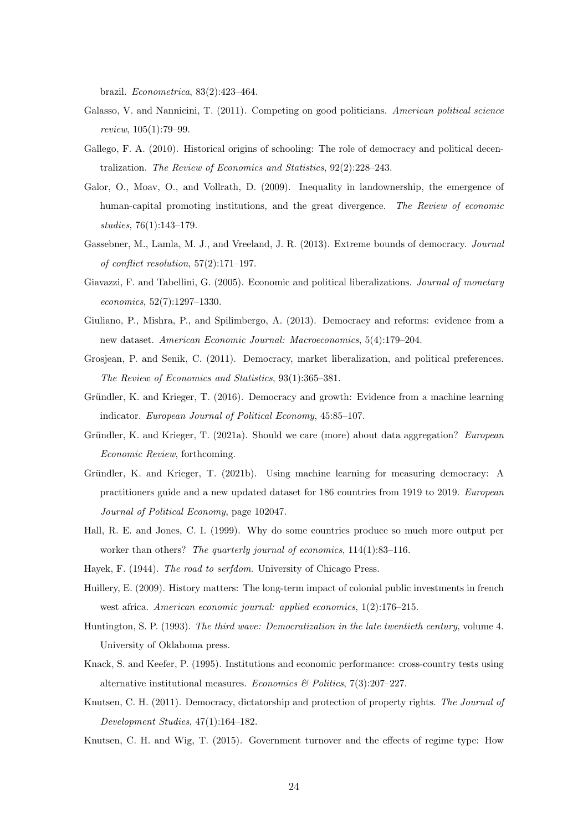brazil. Econometrica, 83(2):423–464.

- <span id="page-24-16"></span>Galasso, V. and Nannicini, T. (2011). Competing on good politicians. American political science review, 105(1):79–99.
- <span id="page-24-12"></span>Gallego, F. A. (2010). Historical origins of schooling: The role of democracy and political decentralization. The Review of Economics and Statistics, 92(2):228–243.
- <span id="page-24-8"></span>Galor, O., Moav, O., and Vollrath, D. (2009). Inequality in landownership, the emergence of human-capital promoting institutions, and the great divergence. The Review of economic studies, 76(1):143–179.
- <span id="page-24-15"></span>Gassebner, M., Lamla, M. J., and Vreeland, J. R. (2013). Extreme bounds of democracy. Journal of conflict resolution, 57(2):171–197.
- <span id="page-24-5"></span>Giavazzi, F. and Tabellini, G. (2005). Economic and political liberalizations. Journal of monetary economics, 52(7):1297–1330.
- <span id="page-24-6"></span>Giuliano, P., Mishra, P., and Spilimbergo, A. (2013). Democracy and reforms: evidence from a new dataset. American Economic Journal: Macroeconomics, 5(4):179–204.
- <span id="page-24-7"></span>Grosjean, P. and Senik, C. (2011). Democracy, market liberalization, and political preferences. The Review of Economics and Statistics, 93(1):365–381.
- <span id="page-24-10"></span>Gründler, K. and Krieger, T. (2016). Democracy and growth: Evidence from a machine learning indicator. European Journal of Political Economy, 45:85–107.
- <span id="page-24-11"></span>Gründler, K. and Krieger, T. (2021a). Should we care (more) about data aggregation? European Economic Review, forthcoming.
- <span id="page-24-3"></span>Gründler, K. and Krieger, T. (2021b). Using machine learning for measuring democracy: A practitioners guide and a new updated dataset for 186 countries from 1919 to 2019. European Journal of Political Economy, page 102047.
- <span id="page-24-1"></span>Hall, R. E. and Jones, C. I. (1999). Why do some countries produce so much more output per worker than others? The quarterly journal of economics,  $114(1):83-116$ .
- <span id="page-24-13"></span><span id="page-24-0"></span>Hayek, F. (1944). The road to serfdom. University of Chicago Press.
- Huillery, E. (2009). History matters: The long-term impact of colonial public investments in french west africa. American economic journal: applied economics, 1(2):176–215.
- <span id="page-24-14"></span>Huntington, S. P. (1993). The third wave: Democratization in the late twentieth century, volume 4. University of Oklahoma press.
- <span id="page-24-2"></span>Knack, S. and Keefer, P. (1995). Institutions and economic performance: cross-country tests using alternative institutional measures. Economics & Politics,  $7(3):207-227$ .
- <span id="page-24-4"></span>Knutsen, C. H. (2011). Democracy, dictatorship and protection of property rights. The Journal of Development Studies, 47(1):164–182.
- <span id="page-24-9"></span>Knutsen, C. H. and Wig, T. (2015). Government turnover and the effects of regime type: How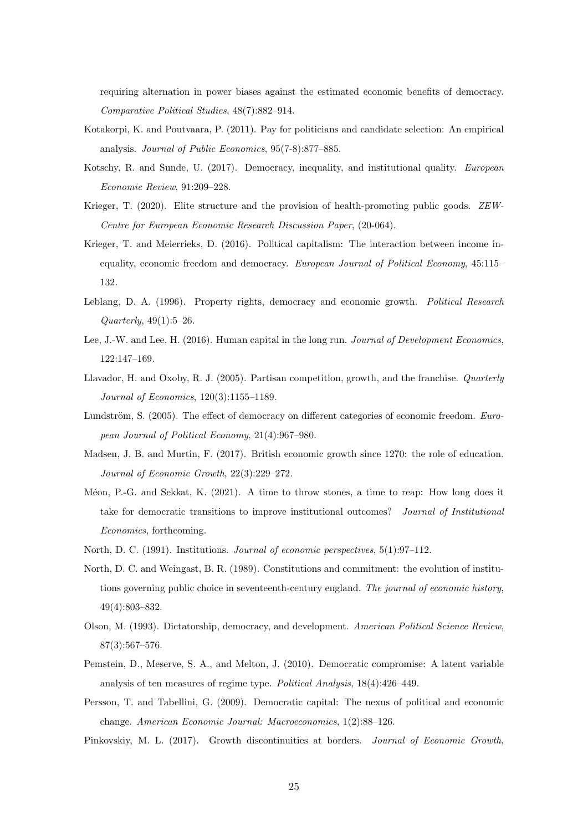requiring alternation in power biases against the estimated economic benefits of democracy. Comparative Political Studies, 48(7):882–914.

- <span id="page-25-15"></span>Kotakorpi, K. and Poutvaara, P. (2011). Pay for politicians and candidate selection: An empirical analysis. Journal of Public Economics, 95(7-8):877–885.
- <span id="page-25-5"></span>Kotschy, R. and Sunde, U. (2017). Democracy, inequality, and institutional quality. European Economic Review, 91:209–228.
- <span id="page-25-9"></span>Krieger, T. (2020). Elite structure and the provision of health-promoting public goods. ZEW-Centre for European Economic Research Discussion Paper, (20-064).
- <span id="page-25-4"></span>Krieger, T. and Meierrieks, D. (2016). Political capitalism: The interaction between income inequality, economic freedom and democracy. European Journal of Political Economy, 45:115– 132.
- <span id="page-25-6"></span>Leblang, D. A. (1996). Property rights, democracy and economic growth. Political Research  $Quarterly, 49(1):5-26.$
- <span id="page-25-12"></span>Lee, J.-W. and Lee, H. (2016). Human capital in the long run. Journal of Development Economics, 122:147–169.
- <span id="page-25-10"></span>Llavador, H. and Oxoby, R. J. (2005). Partisan competition, growth, and the franchise. Quarterly Journal of Economics, 120(3):1155–1189.
- <span id="page-25-7"></span>Lundström, S. (2005). The effect of democracy on different categories of economic freedom. European Journal of Political Economy, 21(4):967–980.
- <span id="page-25-13"></span>Madsen, J. B. and Murtin, F. (2017). British economic growth since 1270: the role of education. Journal of Economic Growth, 22(3):229–272.
- <span id="page-25-8"></span>Méon, P.-G. and Sekkat, K. (2021). A time to throw stones, a time to reap: How long does it take for democratic transitions to improve institutional outcomes? Journal of Institutional Economics, forthcoming.
- <span id="page-25-2"></span><span id="page-25-1"></span>North, D. C. (1991). Institutions. Journal of economic perspectives, 5(1):97–112.
- North, D. C. and Weingast, B. R. (1989). Constitutions and commitment: the evolution of institutions governing public choice in seventeenth-century england. The journal of economic history, 49(4):803–832.
- <span id="page-25-0"></span>Olson, M. (1993). Dictatorship, democracy, and development. American Political Science Review, 87(3):567–576.
- <span id="page-25-11"></span>Pemstein, D., Meserve, S. A., and Melton, J. (2010). Democratic compromise: A latent variable analysis of ten measures of regime type. Political Analysis, 18(4):426–449.
- <span id="page-25-14"></span>Persson, T. and Tabellini, G. (2009). Democratic capital: The nexus of political and economic change. American Economic Journal: Macroeconomics, 1(2):88–126.
- <span id="page-25-3"></span>Pinkovskiy, M. L. (2017). Growth discontinuities at borders. Journal of Economic Growth,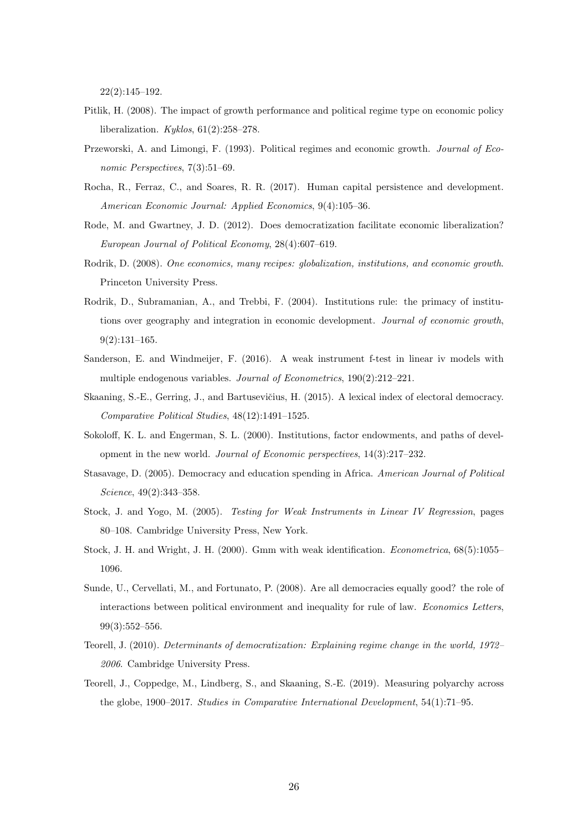22(2):145–192.

- <span id="page-26-5"></span>Pitlik, H. (2008). The impact of growth performance and political regime type on economic policy liberalization.  $Kyklos, 61(2):258-278$ .
- <span id="page-26-0"></span>Przeworski, A. and Limongi, F. (1993). Political regimes and economic growth. Journal of Economic Perspectives, 7(3):51–69.
- <span id="page-26-10"></span>Rocha, R., Ferraz, C., and Soares, R. R. (2017). Human capital persistence and development. American Economic Journal: Applied Economics, 9(4):105–36.
- <span id="page-26-6"></span>Rode, M. and Gwartney, J. D. (2012). Does democratization facilitate economic liberalization? European Journal of Political Economy, 28(4):607–619.
- <span id="page-26-2"></span>Rodrik, D. (2008). One economics, many recipes: globalization, institutions, and economic growth. Princeton University Press.
- <span id="page-26-1"></span>Rodrik, D., Subramanian, A., and Trebbi, F. (2004). Institutions rule: the primacy of institutions over geography and integration in economic development. Journal of economic growth, 9(2):131–165.
- <span id="page-26-12"></span>Sanderson, E. and Windmeijer, F. (2016). A weak instrument f-test in linear iv models with multiple endogenous variables. Journal of Econometrics, 190(2):212–221.
- <span id="page-26-9"></span>Skaaning, S.-E., Gerring, J., and Bartusevičius, H. (2015). A lexical index of electoral democracy. Comparative Political Studies, 48(12):1491–1525.
- <span id="page-26-3"></span>Sokoloff, K. L. and Engerman, S. L. (2000). Institutions, factor endowments, and paths of development in the new world. Journal of Economic perspectives, 14(3):217–232.
- <span id="page-26-7"></span>Stasavage, D. (2005). Democracy and education spending in Africa. American Journal of Political Science, 49(2):343–358.
- <span id="page-26-13"></span>Stock, J. and Yogo, M. (2005). Testing for Weak Instruments in Linear IV Regression, pages 80–108. Cambridge University Press, New York.
- <span id="page-26-14"></span>Stock, J. H. and Wright, J. H. (2000). Gmm with weak identification. Econometrica, 68(5):1055– 1096.
- <span id="page-26-4"></span>Sunde, U., Cervellati, M., and Fortunato, P. (2008). Are all democracies equally good? the role of interactions between political environment and inequality for rule of law. Economics Letters, 99(3):552–556.
- <span id="page-26-11"></span>Teorell, J. (2010). Determinants of democratization: Explaining regime change in the world, 1972– 2006. Cambridge University Press.
- <span id="page-26-8"></span>Teorell, J., Coppedge, M., Lindberg, S., and Skaaning, S.-E. (2019). Measuring polyarchy across the globe, 1900–2017. Studies in Comparative International Development, 54(1):71–95.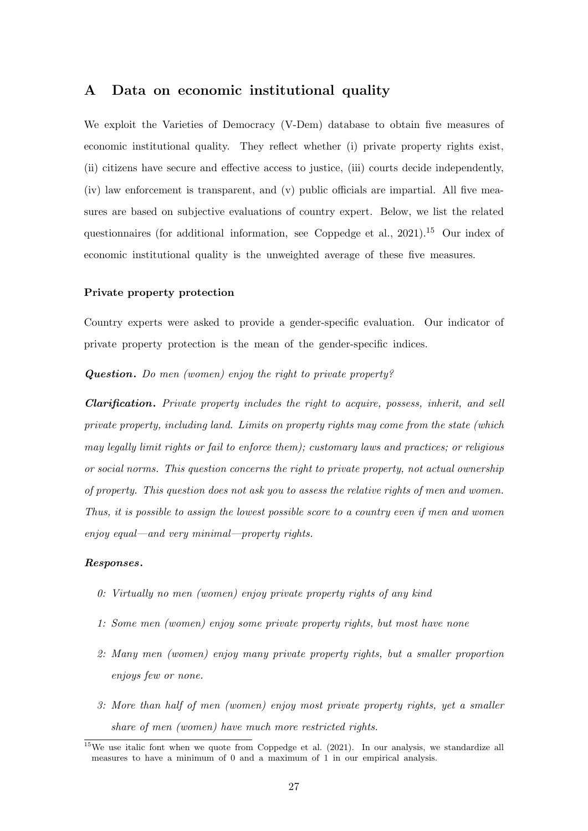## <span id="page-27-0"></span>A Data on economic institutional quality

We exploit the Varieties of Democracy (V-Dem) database to obtain five measures of economic institutional quality. They reflect whether (i) private property rights exist, (ii) citizens have secure and effective access to justice, (iii) courts decide independently, (iv) law enforcement is transparent, and (v) public officials are impartial. All five measures are based on subjective evaluations of country expert. Below, we list the related questionnaires (for additional information, see [Coppedge et al.,](#page-23-17)  $2021$ ).<sup>[15](#page-0-0)</sup> Our index of economic institutional quality is the unweighted average of these five measures.

#### Private property protection

Country experts were asked to provide a gender-specific evaluation. Our indicator of private property protection is the mean of the gender-specific indices.

Question. Do men (women) enjoy the right to private property?

Clarification. Private property includes the right to acquire, possess, inherit, and sell private property, including land. Limits on property rights may come from the state (which may legally limit rights or fail to enforce them); customary laws and practices; or religious or social norms. This question concerns the right to private property, not actual ownership of property. This question does not ask you to assess the relative rights of men and women. Thus, it is possible to assign the lowest possible score to a country even if men and women enjoy equal—and very minimal—property rights.

#### Responses.

- 0: Virtually no men (women) enjoy private property rights of any kind
- 1: Some men (women) enjoy some private property rights, but most have none
- 2: Many men (women) enjoy many private property rights, but a smaller proportion enjoys few or none.
- 3: More than half of men (women) enjoy most private property rights, yet a smaller share of men (women) have much more restricted rights.

 $15$ We use italic font when we quote from [Coppedge et al.](#page-23-17) [\(2021\)](#page-23-17). In our analysis, we standardize all measures to have a minimum of 0 and a maximum of 1 in our empirical analysis.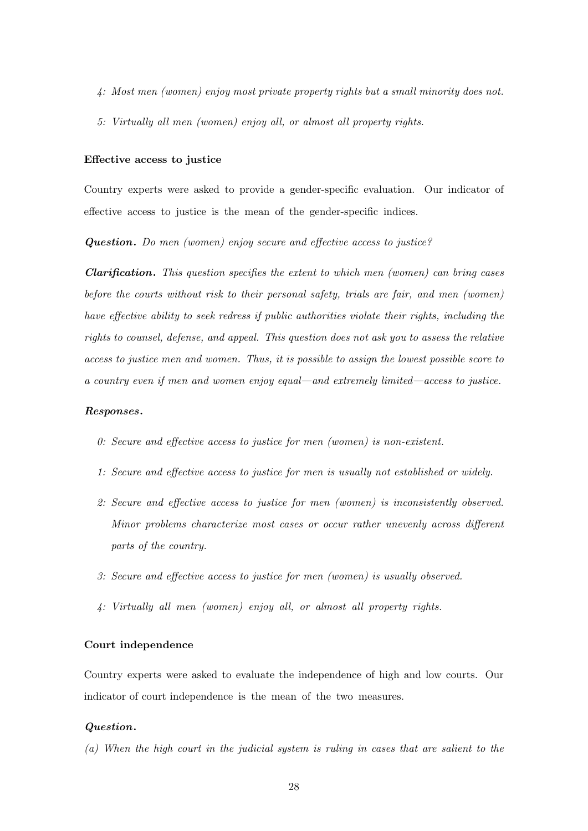- 4: Most men (women) enjoy most private property rights but a small minority does not.
- 5: Virtually all men (women) enjoy all, or almost all property rights.

#### Effective access to justice

Country experts were asked to provide a gender-specific evaluation. Our indicator of effective access to justice is the mean of the gender-specific indices.

Question. Do men (women) enjoy secure and effective access to justice?

**Clarification.** This question specifies the extent to which men (women) can bring cases before the courts without risk to their personal safety, trials are fair, and men (women) have effective ability to seek redress if public authorities violate their rights, including the rights to counsel, defense, and appeal. This question does not ask you to assess the relative access to justice men and women. Thus, it is possible to assign the lowest possible score to a country even if men and women enjoy equal—and extremely limited—access to justice.

### Responses.

- 0: Secure and effective access to justice for men (women) is non-existent.
- 1: Secure and effective access to justice for men is usually not established or widely.
- 2: Secure and effective access to justice for men (women) is inconsistently observed. Minor problems characterize most cases or occur rather unevenly across different parts of the country.
- 3: Secure and effective access to justice for men (women) is usually observed.
- 4: Virtually all men (women) enjoy all, or almost all property rights.

#### Court independence

Country experts were asked to evaluate the independence of high and low courts. Our indicator of court independence is the mean of the two measures.

#### Question.

(a) When the high court in the judicial system is ruling in cases that are salient to the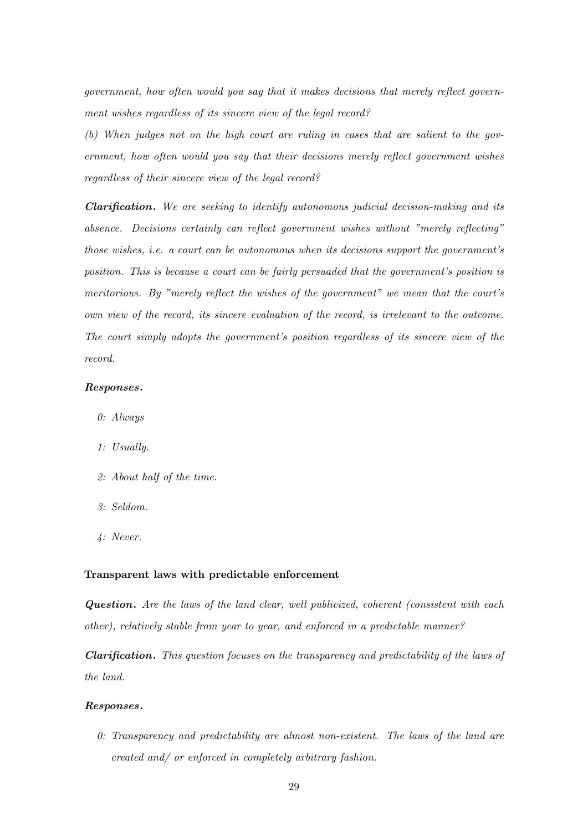government, how often would you say that it makes decisions that merely reflect government wishes regardless of its sincere view of the legal record?

(b) When judges not on the high court are ruling in cases that are salient to the government, how often would you say that their decisions merely reflect government wishes regardless of their sincere view of the legal record?

Clarification. We are seeking to identify autonomous judicial decision-making and its absence. Decisions certainly can reflect government wishes without "merely reflecting" those wishes, i.e. a court can be autonomous when its decisions support the government's position. This is because a court can be fairly persuaded that the government's position is meritorious. By "merely reflect the wishes of the government" we mean that the court's own view of the record, its sincere evaluation of the record, is irrelevant to the outcome. The court simply adopts the government's position regardless of its sincere view of the record.

#### Responses.

- 0: Always
- 1: Usually.
- 2: About half of the time.
- 3: Seldom.
- 4: Never.

#### Transparent laws with predictable enforcement

Question. Are the laws of the land clear, well publicized, coherent (consistent with each other), relatively stable from year to year, and enforced in a predictable manner?

Clarification. This question focuses on the transparency and predictability of the laws of the land.

#### Responses.

0: Transparency and predictability are almost non-existent. The laws of the land are created and/ or enforced in completely arbitrary fashion.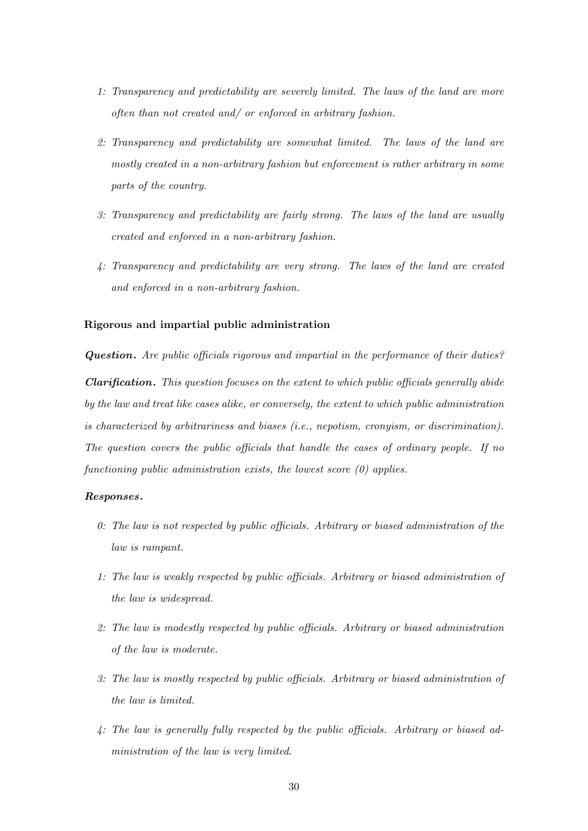- 1: Transparency and predictability are severely limited. The laws of the land are more often than not created and/ or enforced in arbitrary fashion.
- 2: Transparency and predictability are somewhat limited. The laws of the land are mostly created in a non-arbitrary fashion but enforcement is rather arbitrary in some parts of the country.
- 3: Transparency and predictability are fairly strong. The laws of the land are usually created and enforced in a non-arbitrary fashion.
- 4: Transparency and predictability are very strong. The laws of the land are created and enforced in a non-arbitrary fashion.

#### Rigorous and impartial public administration

Question. Are public officials rigorous and impartial in the performance of their duties? Clarification. This question focuses on the extent to which public officials generally abide by the law and treat like cases alike, or conversely, the extent to which public administration is characterized by arbitrariness and biases (i.e., nepotism, cronyism, or discrimination). The question covers the public officials that handle the cases of ordinary people. If no functioning public administration exists, the lowest score  $(0)$  applies.

#### Responses.

- 0: The law is not respected by public officials. Arbitrary or biased administration of the law is rampant.
- 1: The law is weakly respected by public officials. Arbitrary or biased administration of the law is widespread.
- 2: The law is modestly respected by public officials. Arbitrary or biased administration of the law is moderate.
- 3: The law is mostly respected by public officials. Arbitrary or biased administration of the law is limited.
- 4: The law is generally fully respected by the public officials. Arbitrary or biased administration of the law is very limited.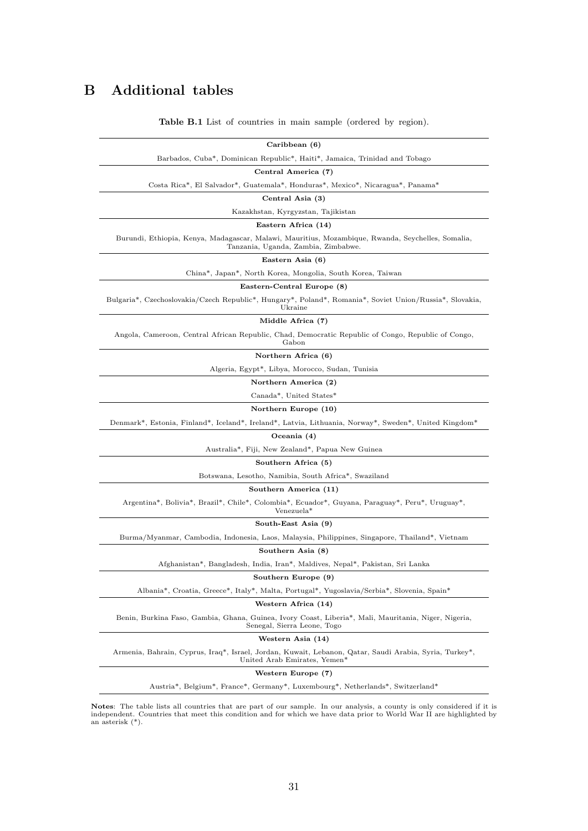## B Additional tables

<span id="page-31-0"></span>

| Caribbean (6)                                                                                                                            |
|------------------------------------------------------------------------------------------------------------------------------------------|
| Barbados, Cuba*, Dominican Republic*, Haiti*, Jamaica, Trinidad and Tobago                                                               |
| Central America (7)                                                                                                                      |
| Costa Rica*, El Salvador*, Guatemala*, Honduras*, Mexico*, Nicaragua*, Panama*                                                           |
| Central Asia (3)                                                                                                                         |
| Kazakhstan, Kyrgyzstan, Tajikistan                                                                                                       |
| Eastern Africa (14)                                                                                                                      |
| Burundi, Ethiopia, Kenya, Madagascar, Malawi, Mauritius, Mozambique, Rwanda, Seychelles, Somalia,<br>Tanzania, Uganda, Zambia, Zimbabwe. |
| Eastern Asia (6)                                                                                                                         |
| China*, Japan*, North Korea, Mongolia, South Korea, Taiwan                                                                               |
| Eastern-Central Europe (8)                                                                                                               |
| Bulgaria*, Czechoslovakia/Czech Republic*, Hungary*, Poland*, Romania*, Soviet Union/Russia*, Slovakia,<br>Ukraine                       |
| Middle Africa (7)                                                                                                                        |
| Angola, Cameroon, Central African Republic, Chad, Democratic Republic of Congo, Republic of Congo,<br>Gabon                              |
| Northern Africa (6)                                                                                                                      |
| Algeria, Egypt <sup>*</sup> , Libya, Morocco, Sudan, Tunisia                                                                             |
| Northern America (2)                                                                                                                     |
| Canada*, United States*                                                                                                                  |
| Northern Europe (10)                                                                                                                     |
| Denmark*, Estonia, Finland*, Iceland*, Ireland*, Latvia, Lithuania, Norway*, Sweden*, United Kingdom*                                    |
| Oceania (4)                                                                                                                              |
| Australia*, Fiji, New Zealand*, Papua New Guinea                                                                                         |
| Southern Africa (5)                                                                                                                      |
| Botswana, Lesotho, Namibia, South Africa*, Swaziland                                                                                     |
| Southern America (11)                                                                                                                    |
| Argentina*, Bolivia*, Brazil*, Chile*, Colombia*, Ecuador*, Guyana, Paraguay*, Peru*, Uruguay*,<br>Venezuela <sup>*</sup>                |
| South-East Asia (9)                                                                                                                      |
| Burma/Myanmar, Cambodia, Indonesia, Laos, Malaysia, Philippines, Singapore, Thailand*, Vietnam                                           |
| Southern Asia (8)                                                                                                                        |
| Afghanistan*, Bangladesh, India, Iran*, Maldives, Nepal*, Pakistan, Sri Lanka                                                            |
| Southern Europe (9)                                                                                                                      |
| Albania*, Croatia, Greece*, Italy*, Malta, Portugal*, Yugoslavia/Serbia*, Slovenia, Spain*                                               |
| Western Africa (14)                                                                                                                      |
| Benin, Burkina Faso, Gambia, Ghana, Guinea, Ivory Coast, Liberia*, Mali, Mauritania, Niger, Nigeria,<br>Senegal, Sierra Leone, Togo      |
| Western Asia (14)                                                                                                                        |
| Armenia, Bahrain, Cyprus, Iraq*, Israel, Jordan, Kuwait, Lebanon, Qatar, Saudi Arabia, Syria, Turkey*,<br>United Arab Emirates, Yemen*   |
| Western Europe (7)                                                                                                                       |
| Austria*, Belgium*, France*, Germany*, Luxembourg*, Netherlands*, Switzerland*                                                           |
| otes: The table lists all countries that are part of our sample. In our analysis, a county is only considered if it                      |

Table B.1 List of countries in main sample (ordered by region).

**Notes:** The table lists all countries that are part of our sample. In our analysis, a county is only considered if it is independent. Countries that meet this condition and for which we have data prior to World War II ar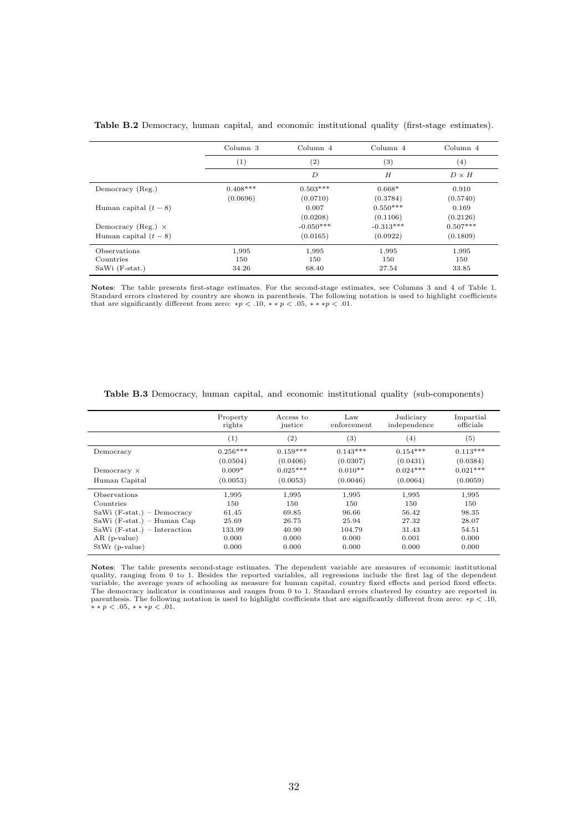|                           | Column 3   | Column 4         | Column 4    | Column 4     |
|---------------------------|------------|------------------|-------------|--------------|
|                           | (1)        | (2)              | (3)         | (4)          |
|                           |            | $\boldsymbol{D}$ | H           | $D \times H$ |
| Democracy (Reg.)          | $0.408***$ | $0.503***$       | $0.668*$    | 0.910        |
|                           | (0.0696)   | (0.0710)         | (0.3784)    | (0.5740)     |
| Human capital $(t-8)$     |            | 0.007            | $0.550***$  | 0.169        |
|                           |            | (0.0208)         | (0.1106)    | (0.2126)     |
| Democracy (Reg.) $\times$ |            | $-0.050***$      | $-0.313***$ | $0.507***$   |
| Human capital $(t-8)$     |            | (0.0165)         | (0.0922)    | (0.1809)     |
| Observations              | 1,995      | 1,995            | 1,995       | 1,995        |
| Countries                 | 150        | 150              | 150         | 150          |
| SaWi (F-stat.)            | 34.26      | 68.40            | 27.54       | 33.85        |

<span id="page-32-0"></span>Table B.2 Democracy, human capital, and economic institutional quality (first-stage estimates).

Notes: The table presents first-stage estimates. For the second-stage estimates, see Columns 3 and 4 of Table [1.](#page-18-0) Standard errors clustered by country are shown in parenthesis. The following notation is used to highlight coefficients that are significantly different from zero: \* $p < .10$ , \* \*  $p < .05$ , \* \* \* $p < .01$ .

|                                | Property<br>rights | Access to<br>justice | Law<br>enforcement | Judiciary<br>independence | Impartial<br>officials |
|--------------------------------|--------------------|----------------------|--------------------|---------------------------|------------------------|
|                                | (1)                | (2)                  | (3)                | (4)                       | (5)                    |
| Democracy                      | $0.256***$         | $0.159***$           | $0.143***$         | $0.154***$                | $0.113***$             |
|                                | (0.0504)           | (0.0406)             | (0.0307)           | (0.0431)                  | (0.0384)               |
| Democracy $\times$             | $0.009*$           | $0.025***$           | $0.010**$          | $0.024***$                | $0.021***$             |
| Human Capital                  | (0.0053)           | (0.0053)             | (0.0046)           | (0.0064)                  | (0.0059)               |
| Observations                   | 1,995              | 1,995                | 1,995              | 1,995                     | 1,995                  |
| Countries                      | 150                | 150                  | 150                | 150                       | 150                    |
| $Sawi$ (F-stat.) – Democracy   | 61.45              | 69.85                | 96.66              | 56.42                     | 98.35                  |
| SaWi $(F-stat.)$ – Human Cap   | 25.69              | 26.75                | 25.94              | 27.32                     | 28.07                  |
| SaWi $(F-stat.)$ – Interaction | 133.99             | 40.90                | 104.79             | 31.43                     | 54.51                  |
| $AR$ (p-value)                 | 0.000              | 0.000                | 0.000              | 0.001                     | 0.000                  |
| $StWr$ (p-value)               | 0.000              | 0.000                | 0.000              | 0.000                     | 0.000                  |

<span id="page-32-1"></span>Table B.3 Democracy, human capital, and economic institutional quality (sub-components)

Notes: The table presents second-stage estimates. The dependent variable are measures of economic institutional quality, ranging from 0 to 1. Besides the reported variables, all regressions include the first lag of the dependent variable, the average years of schooling as measure for human capital, country fixed effects and period fixed effects.<br>The democracy indicator is continuous and ranges from 0 to 1. Standard errors clustered by country are parenthesis. The following notation is used to highlight coefficients that are significantly different from zero: \*p < .10, \*\* p < .05, \*\* \*p < .01.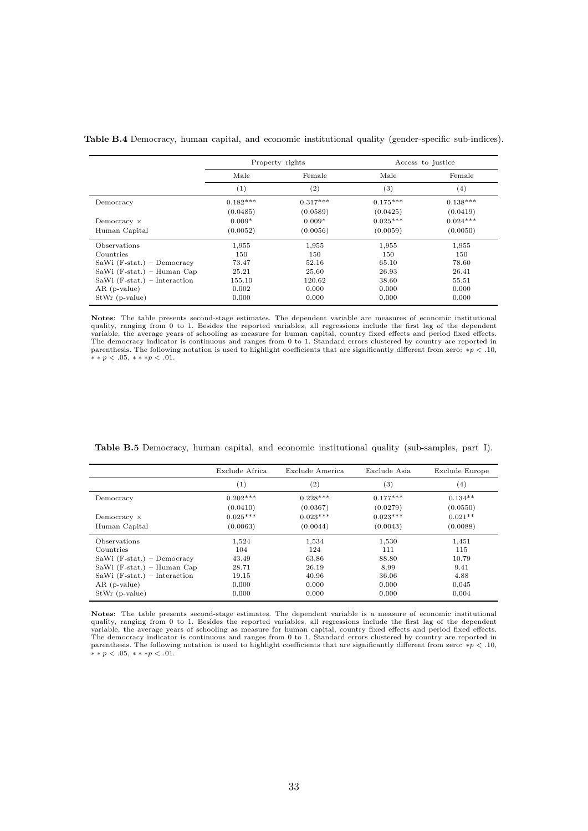|                                |            | Property rights | Access to justice |                  |
|--------------------------------|------------|-----------------|-------------------|------------------|
|                                | Male       | Female          | Male              | Female           |
|                                | (1)        | (2)             | (3)               | $\left(4\right)$ |
| Democracy                      | $0.182***$ | $0.317***$      | $0.175***$        | $0.138***$       |
|                                | (0.0485)   | (0.0589)        | (0.0425)          | (0.0419)         |
| Democracy $\times$             | $0.009*$   | $0.009*$        | $0.025***$        | $0.024***$       |
| Human Capital                  | (0.0052)   | (0.0056)        | (0.0059)          | (0.0050)         |
| Observations                   | 1,955      | 1,955           | 1,955             | 1,955            |
| Countries                      | 150        | 150             | 150               | 150              |
| $Sawi$ (F-stat.) – Democracy   | 73.47      | 52.16           | 65.10             | 78.60            |
| $Sawi$ (F-stat.) – Human Cap   | 25.21      | 25.60           | 26.93             | 26.41            |
| SaWi $(F-stat.)$ – Interaction | 155.10     | 120.62          | 38.60             | 55.51            |
| $AR$ (p-value)                 | 0.002      | 0.000           | 0.000             | 0.000            |
| $StWr$ (p-value)               | 0.000      | 0.000           | 0.000             | 0.000            |

<span id="page-33-0"></span>Table B.4 Democracy, human capital, and economic institutional quality (gender-specific sub-indices).

Notes: The table presents second-stage estimates. The dependent variable are measures of economic institutional quality, ranging from 0 to 1. Besides the reported variables, all regressions include the first lag of the dependent variable, the average years of schooling as measure for human capital, country fixed effects and period fixed effects.<br>The democracy indicator is continuous and ranges from 0 to 1. Standard errors clustered by country are  $* * p < .05, ** p < .01.$ 

|                                | Exclude Africa | Exclude America   | Exclude Asia | Exclude Europe |
|--------------------------------|----------------|-------------------|--------------|----------------|
|                                | (1)            | $\left( 2\right)$ | (3)          | (4)            |
| Democracy                      | $0.202***$     | $0.228***$        | $0.177***$   | $0.134**$      |
|                                | (0.0410)       | (0.0367)          | (0.0279)     | (0.0550)       |
| Democracy $\times$             | $0.025***$     | $0.023***$        | $0.023***$   | $0.021**$      |
| Human Capital                  | (0.0063)       | (0.0044)          | (0.0043)     | (0.0088)       |
| Observations                   | 1,524          | 1,534             | 1,530        | 1,451          |
| Countries                      | 104            | 124               | 111          | 115            |
| SaWi $(F-stat.)$ – Democracy   | 43.49          | 63.86             | 88.80        | 10.79          |
| $Sawi$ (F-stat.) – Human Cap   | 28.71          | 26.19             | 8.99         | 9.41           |
| SaWi $(F-stat.)$ – Interaction | 19.15          | 40.96             | 36.06        | 4.88           |
| $AR$ (p-value)                 | 0.000          | 0.000             | 0.000        | 0.045          |
| $StWr$ (p-value)               | 0.000          | 0.000             | 0.000        | 0.004          |

<span id="page-33-1"></span>Table B.5 Democracy, human capital, and economic institutional quality (sub-samples, part I).

Notes: The table presents second-stage estimates. The dependent variable is a measure of economic institutional<br>quality, ranging from 0 to 1. Besides the reported variables, all regressions include the first lag of the dep parenthesis. The following notation is used to highlight coefficients that are significantly different from zero: ∗p < .10,  $* * p < .05, ** * p < .01.$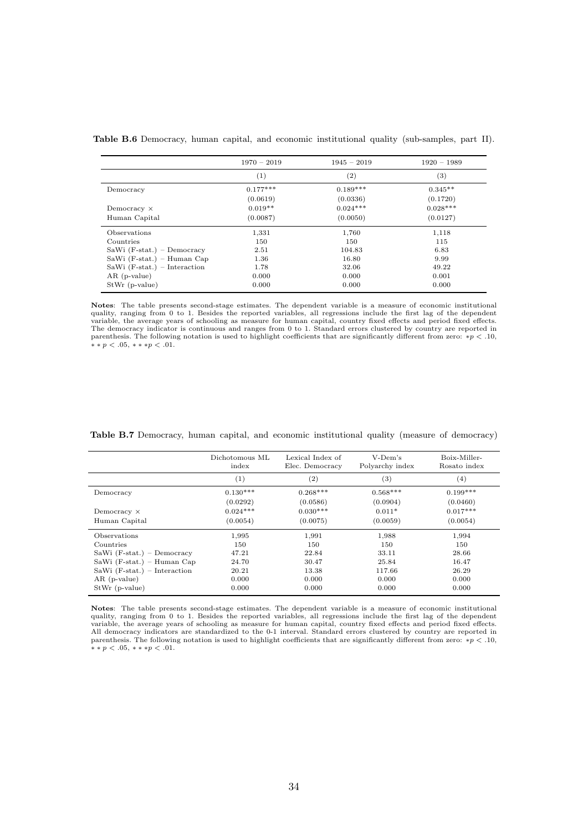|                                | $1970 - 2019$ | $1945 - 2019$ | $1920 - 1989$ |
|--------------------------------|---------------|---------------|---------------|
|                                | (1)           | (2)           | (3)           |
| Democracy                      | $0.177***$    | $0.189***$    | $0.345**$     |
|                                | (0.0619)      | (0.0336)      | (0.1720)      |
| Democracy $\times$             | $0.019**$     | $0.024***$    | $0.028***$    |
| Human Capital                  | (0.0087)      | (0.0050)      | (0.0127)      |
| Observations                   | 1,331         | 1,760         | 1,118         |
| Countries                      | 150           | 150           | 115           |
| SaWi $(F-stat.)$ – Democracy   | 2.51          | 104.83        | 6.83          |
| $Sawi$ (F-stat.) – Human Cap   | 1.36          | 16.80         | 9.99          |
| SaWi $(F-stat.)$ – Interaction | 1.78          | 32.06         | 49.22         |
| $AR$ (p-value)                 | 0.000         | 0.000         | 0.001         |
| $StWr$ (p-value)               | 0.000         | 0.000         | 0.000         |

<span id="page-34-0"></span>Table B.6 Democracy, human capital, and economic institutional quality (sub-samples, part II).

Notes: The table presents second-stage estimates. The dependent variable is a measure of economic institutional<br>quality, ranging from 0 to 1. Besides the reported variables, all regressions include the first lag of the dep variable, the average years of schooling as measure for human capital, country fixed effects and period fixed effects. The democracy indicator is continuous and ranges from 0 to 1. Standard errors clustered by country are reported in parenthesis. The following notation is used to highlight coefficients that are significantly different from zero: ∗p < .10,  $\ast \ast p < .05, \, \ast \ast \ast p < .01.$ 

|                                | Dichotomous ML<br>index | Lexical Index of<br>Elec. Democracy | V-Dem's<br>Polyarchy index | Boix-Miller-<br>Rosato index |
|--------------------------------|-------------------------|-------------------------------------|----------------------------|------------------------------|
|                                | (1)                     | $\left( 2\right)$                   | $^{(3)}$                   | $^{(4)}$                     |
| Democracy                      | $0.130***$              | $0.268***$                          | $0.568***$                 | $0.199***$                   |
|                                | (0.0292)                | (0.0586)                            | (0.0904)                   | (0.0460)                     |
| Democracy $\times$             | $0.024***$              | $0.030***$                          | $0.011*$                   | $0.017***$                   |
| Human Capital                  | (0.0054)                | (0.0075)                            | (0.0059)                   | (0.0054)                     |
| Observations                   | 1,995                   | 1,991                               | 1,988                      | 1,994                        |
| Countries                      | 150                     | 150                                 | 150                        | 150                          |
| SaWi $(F-stat.)$ – Democracy   | 47.21                   | 22.84                               | 33.11                      | 28.66                        |
| SaWi $(F-stat.)$ – Human Cap   | 24.70                   | 30.47                               | 25.84                      | 16.47                        |
| SaWi $(F-stat.)$ – Interaction | 20.21                   | 13.38                               | 117.66                     | 26.29                        |
| $AR$ (p-value)                 | 0.000                   | 0.000                               | 0.000                      | 0.000                        |
| $StWr$ (p-value)               | 0.000                   | 0.000                               | 0.000                      | 0.000                        |

<span id="page-34-1"></span>Table B.7 Democracy, human capital, and economic institutional quality (measure of democracy)

Notes: The table presents second-stage estimates. The dependent variable is a measure of economic institutional quality, ranging from 0 to 1. Besides the reported variables, all regressions include the first lag of the dependent variable, the average years of schooling as measure for human capital, country fixed effects and period fixed effects.<br>All democracy indicators are standardized to the 0-1 interval. Standard errors clustered by country are parenthesis. The following notation is used to highlight coefficients that are significantly different from zero: ∗p < .10,  $* * p < .05, ** p < .01.$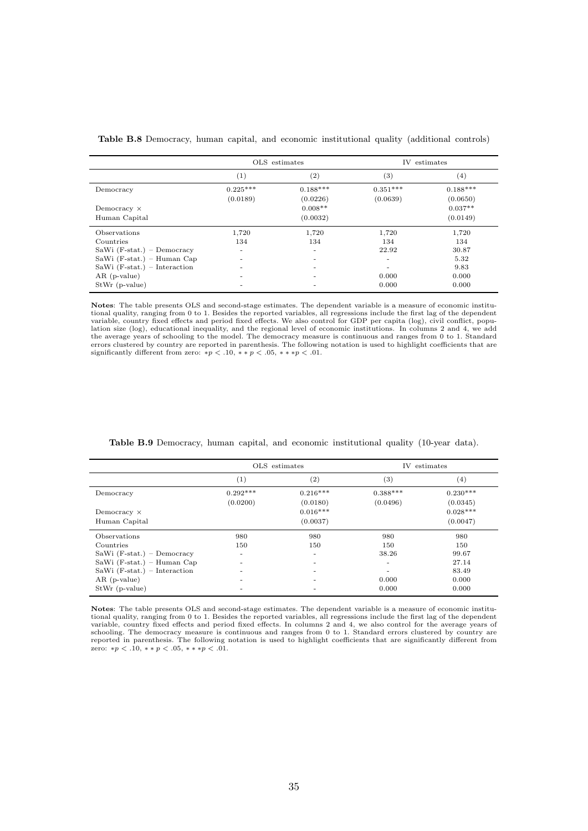|                                | OLS estimates |            | IV estimates |            |
|--------------------------------|---------------|------------|--------------|------------|
|                                | (1)           | (2)        | (3)          | $^{(4)}$   |
| Democracy                      | $0.225***$    | $0.188***$ | $0.351***$   | $0.188***$ |
|                                | (0.0189)      | (0.0226)   | (0.0639)     | (0.0650)   |
| Democracy $\times$             |               | $0.008**$  |              | $0.037**$  |
| Human Capital                  |               | (0.0032)   |              | (0.0149)   |
| Observations                   | 1,720         | 1,720      | 1,720        | 1,720      |
| Countries                      | 134           | 134        | 134          | 134        |
| $Sawi$ (F-stat.) – Democracy   |               | ۰          | 22.92        | 30.87      |
| $Sawi$ (F-stat.) – Human Cap   |               | -          | ٠            | 5.32       |
| SaWi $(F-stat.)$ – Interaction |               |            | ۰            | 9.83       |
| $AR$ (p-value)                 |               |            | 0.000        | 0.000      |
| $StWr$ (p-value)               |               |            | 0.000        | 0.000      |

<span id="page-35-1"></span>Table B.8 Democracy, human capital, and economic institutional quality (additional controls)

Notes: The table presents OLS and second-stage estimates. The dependent variable is a measure of economic institu-<br>tional quality, ranging from 0 to 1. Besides the reported variables, all regressions include the first lag variable, country fixed effects and period fixed effects. We also control for GDP per capita (log), civil conflict, population size (log), educational inequality, and the regional level of economic institutions. In columns 2 and 4, we add the average years of schooling to the model. The democracy measure is continuous and ranges from 0 to 1. Standard<br>errors clustered by country are reported in parenthesis. The following notation is used to highlight coeffi

|                                | OLS estimates |            | IV estimates |            |
|--------------------------------|---------------|------------|--------------|------------|
|                                | (1)           | (2)        | (3)          | (4)        |
| Democracy                      | $0.292***$    | $0.216***$ | $0.388***$   | $0.230***$ |
|                                | (0.0200)      | (0.0180)   | (0.0496)     | (0.0345)   |
| Democracy $\times$             |               | $0.016***$ |              | $0.028***$ |
| Human Capital                  |               | (0.0037)   |              | (0.0047)   |
| <b>Observations</b>            | 980           | 980        | 980          | 980        |
| Countries                      | 150           | 150        | 150          | 150        |
| SaWi $(F-stat.)$ – Democracy   | -             | -          | 38.26        | 99.67      |
| $Sawi$ (F-stat.) – Human Cap   |               |            | ٠            | 27.14      |
| SaWi $(F-stat.)$ – Interaction |               |            | ٠            | 83.49      |
| $AR$ (p-value)                 |               |            | 0.000        | 0.000      |
| $StWr$ (p-value)               |               |            | 0.000        | 0.000      |

<span id="page-35-0"></span>Table B.9 Democracy, human capital, and economic institutional quality (10-year data).

Notes: The table presents OLS and second-stage estimates. The dependent variable is a measure of economic institutional quality, ranging from 0 to 1. Besides the reported variables, all regressions include the first lag of the dependent<br>variable, country fixed effects and period fixed effects. In columns 2 and 4, we also control for schooling. The democracy measure is continuous and ranges from 0 to 1. Standard errors clustered by country are<br>reported in parenthesis. The following notation is used to highlight coefficients that are significantly diffe zero: \* $p < 0.10$ , \*\* $p < 0.05$ , \*\*\* $p < 0.01$ .